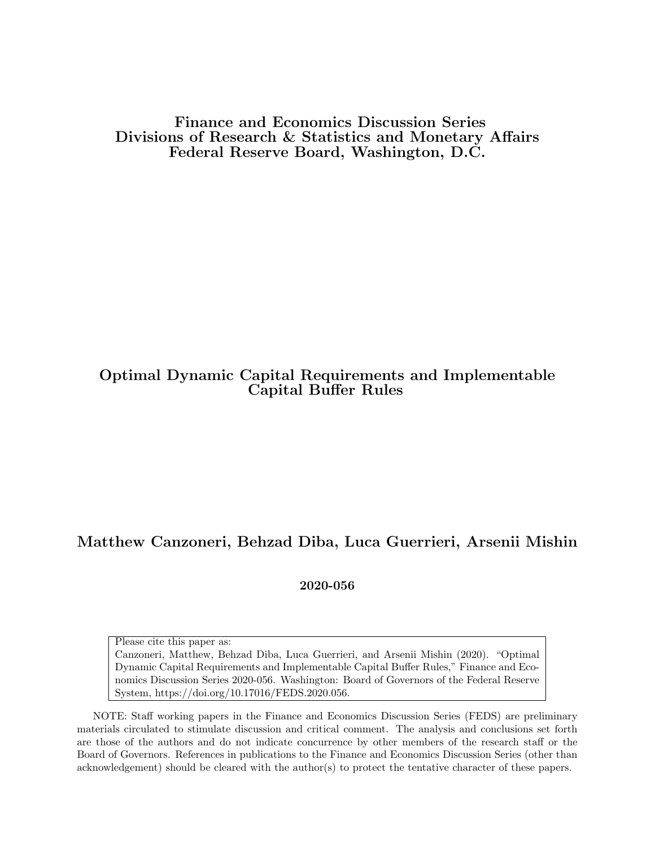Finance and Economics Discussion Series Divisions of Research & Statistics and Monetary Affairs Federal Reserve Board, Washington, D.C.

# Optimal Dynamic Capital Requirements and Implementable Capital Buffer Rules

## Matthew Canzoneri, Behzad Diba, Luca Guerrieri, Arsenii Mishin

2020-056

Please cite this paper as:

Canzoneri, Matthew, Behzad Diba, Luca Guerrieri, and Arsenii Mishin (2020). "Optimal Dynamic Capital Requirements and Implementable Capital Buffer Rules," Finance and Economics Discussion Series 2020-056. Washington: Board of Governors of the Federal Reserve System, https://doi.org/10.17016/FEDS.2020.056.

NOTE: Staff working papers in the Finance and Economics Discussion Series (FEDS) are preliminary materials circulated to stimulate discussion and critical comment. The analysis and conclusions set forth are those of the authors and do not indicate concurrence by other members of the research staff or the Board of Governors. References in publications to the Finance and Economics Discussion Series (other than acknowledgement) should be cleared with the author(s) to protect the tentative character of these papers.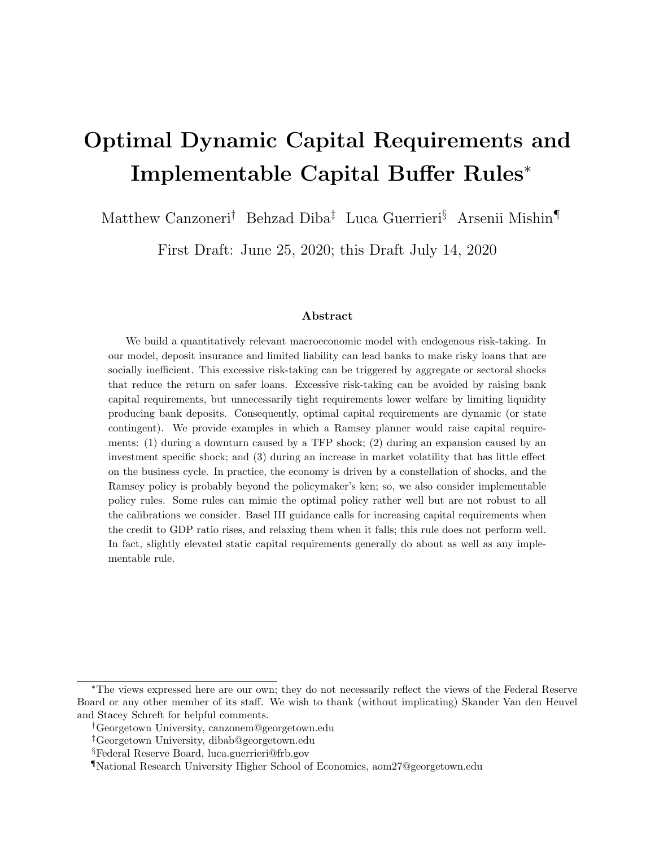# Optimal Dynamic Capital Requirements and Implementable Capital Buffer Rules<sup>∗</sup>

Matthew Canzoneri† Behzad Diba‡ Luca Guerrieri§ Arsenii Mishin¶

First Draft: June 25, 2020; this Draft July 14, 2020

#### Abstract

We build a quantitatively relevant macroeconomic model with endogenous risk-taking. In our model, deposit insurance and limited liability can lead banks to make risky loans that are socially inefficient. This excessive risk-taking can be triggered by aggregate or sectoral shocks that reduce the return on safer loans. Excessive risk-taking can be avoided by raising bank capital requirements, but unnecessarily tight requirements lower welfare by limiting liquidity producing bank deposits. Consequently, optimal capital requirements are dynamic (or state contingent). We provide examples in which a Ramsey planner would raise capital requirements: (1) during a downturn caused by a TFP shock; (2) during an expansion caused by an investment specific shock; and (3) during an increase in market volatility that has little effect on the business cycle. In practice, the economy is driven by a constellation of shocks, and the Ramsey policy is probably beyond the policymaker's ken; so, we also consider implementable policy rules. Some rules can mimic the optimal policy rather well but are not robust to all the calibrations we consider. Basel III guidance calls for increasing capital requirements when the credit to GDP ratio rises, and relaxing them when it falls; this rule does not perform well. In fact, slightly elevated static capital requirements generally do about as well as any implementable rule.

<sup>∗</sup>The views expressed here are our own; they do not necessarily reflect the views of the Federal Reserve Board or any other member of its staff. We wish to thank (without implicating) Skander Van den Heuvel and Stacey Schreft for helpful comments.

<sup>†</sup>Georgetown University, canzonem@georgetown.edu

<sup>‡</sup>Georgetown University, dibab@georgetown.edu

<sup>§</sup>Federal Reserve Board, luca.guerrieri@frb.gov

<sup>¶</sup>National Research University Higher School of Economics, aom27@georgetown.edu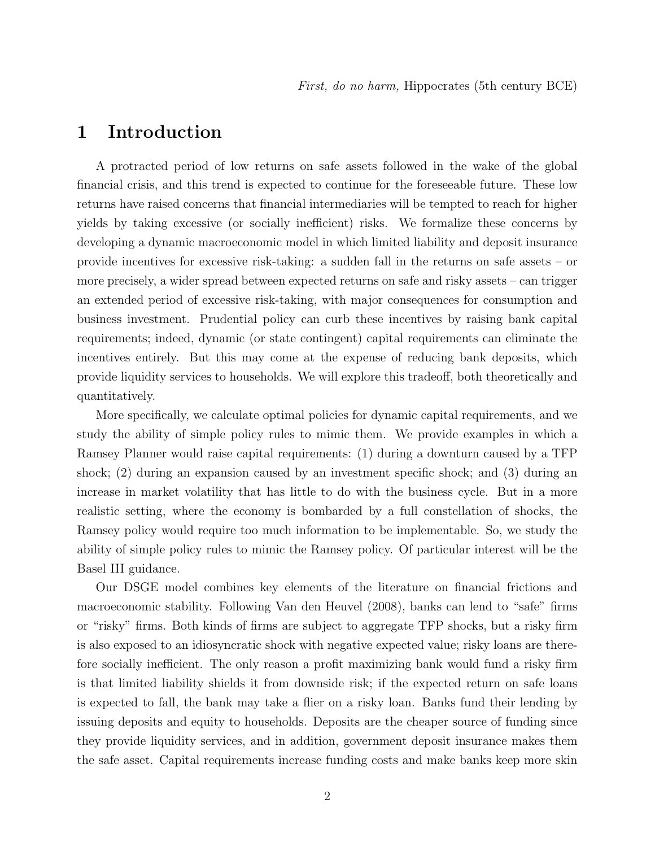# 1 Introduction

A protracted period of low returns on safe assets followed in the wake of the global financial crisis, and this trend is expected to continue for the foreseeable future. These low returns have raised concerns that financial intermediaries will be tempted to reach for higher yields by taking excessive (or socially inefficient) risks. We formalize these concerns by developing a dynamic macroeconomic model in which limited liability and deposit insurance provide incentives for excessive risk-taking: a sudden fall in the returns on safe assets – or more precisely, a wider spread between expected returns on safe and risky assets – can trigger an extended period of excessive risk-taking, with major consequences for consumption and business investment. Prudential policy can curb these incentives by raising bank capital requirements; indeed, dynamic (or state contingent) capital requirements can eliminate the incentives entirely. But this may come at the expense of reducing bank deposits, which provide liquidity services to households. We will explore this tradeoff, both theoretically and quantitatively.

More specifically, we calculate optimal policies for dynamic capital requirements, and we study the ability of simple policy rules to mimic them. We provide examples in which a Ramsey Planner would raise capital requirements: (1) during a downturn caused by a TFP shock; (2) during an expansion caused by an investment specific shock; and (3) during an increase in market volatility that has little to do with the business cycle. But in a more realistic setting, where the economy is bombarded by a full constellation of shocks, the Ramsey policy would require too much information to be implementable. So, we study the ability of simple policy rules to mimic the Ramsey policy. Of particular interest will be the Basel III guidance.

Our DSGE model combines key elements of the literature on financial frictions and macroeconomic stability. Following Van den Heuvel (2008), banks can lend to "safe" firms or "risky" firms. Both kinds of firms are subject to aggregate TFP shocks, but a risky firm is also exposed to an idiosyncratic shock with negative expected value; risky loans are therefore socially inefficient. The only reason a profit maximizing bank would fund a risky firm is that limited liability shields it from downside risk; if the expected return on safe loans is expected to fall, the bank may take a flier on a risky loan. Banks fund their lending by issuing deposits and equity to households. Deposits are the cheaper source of funding since they provide liquidity services, and in addition, government deposit insurance makes them the safe asset. Capital requirements increase funding costs and make banks keep more skin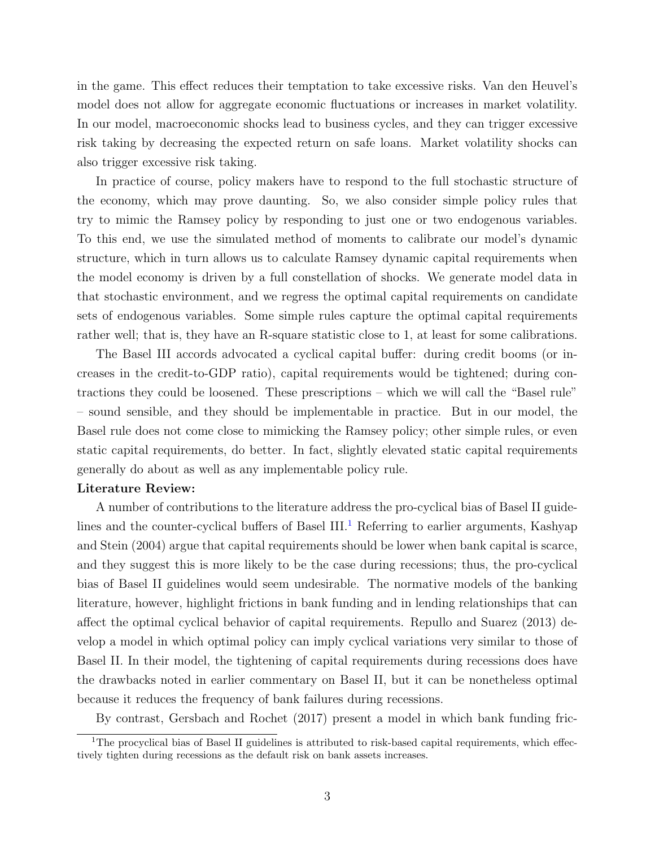in the game. This effect reduces their temptation to take excessive risks. Van den Heuvel's model does not allow for aggregate economic fluctuations or increases in market volatility. In our model, macroeconomic shocks lead to business cycles, and they can trigger excessive risk taking by decreasing the expected return on safe loans. Market volatility shocks can also trigger excessive risk taking.

In practice of course, policy makers have to respond to the full stochastic structure of the economy, which may prove daunting. So, we also consider simple policy rules that try to mimic the Ramsey policy by responding to just one or two endogenous variables. To this end, we use the simulated method of moments to calibrate our model's dynamic structure, which in turn allows us to calculate Ramsey dynamic capital requirements when the model economy is driven by a full constellation of shocks. We generate model data in that stochastic environment, and we regress the optimal capital requirements on candidate sets of endogenous variables. Some simple rules capture the optimal capital requirements rather well; that is, they have an R-square statistic close to 1, at least for some calibrations.

The Basel III accords advocated a cyclical capital buffer: during credit booms (or increases in the credit-to-GDP ratio), capital requirements would be tightened; during contractions they could be loosened. These prescriptions – which we will call the "Basel rule" – sound sensible, and they should be implementable in practice. But in our model, the Basel rule does not come close to mimicking the Ramsey policy; other simple rules, or even static capital requirements, do better. In fact, slightly elevated static capital requirements generally do about as well as any implementable policy rule.

#### Literature Review:

A number of contributions to the literature address the pro-cyclical bias of Basel II guide-lines and the counter-cyclical buffers of Basel III.<sup>[1](#page-3-0)</sup> Referring to earlier arguments, Kashyap and Stein (2004) argue that capital requirements should be lower when bank capital is scarce, and they suggest this is more likely to be the case during recessions; thus, the pro-cyclical bias of Basel II guidelines would seem undesirable. The normative models of the banking literature, however, highlight frictions in bank funding and in lending relationships that can affect the optimal cyclical behavior of capital requirements. Repullo and Suarez (2013) develop a model in which optimal policy can imply cyclical variations very similar to those of Basel II. In their model, the tightening of capital requirements during recessions does have the drawbacks noted in earlier commentary on Basel II, but it can be nonetheless optimal because it reduces the frequency of bank failures during recessions.

By contrast, Gersbach and Rochet (2017) present a model in which bank funding fric-

<span id="page-3-0"></span><sup>&</sup>lt;sup>1</sup>The procyclical bias of Basel II guidelines is attributed to risk-based capital requirements, which effectively tighten during recessions as the default risk on bank assets increases.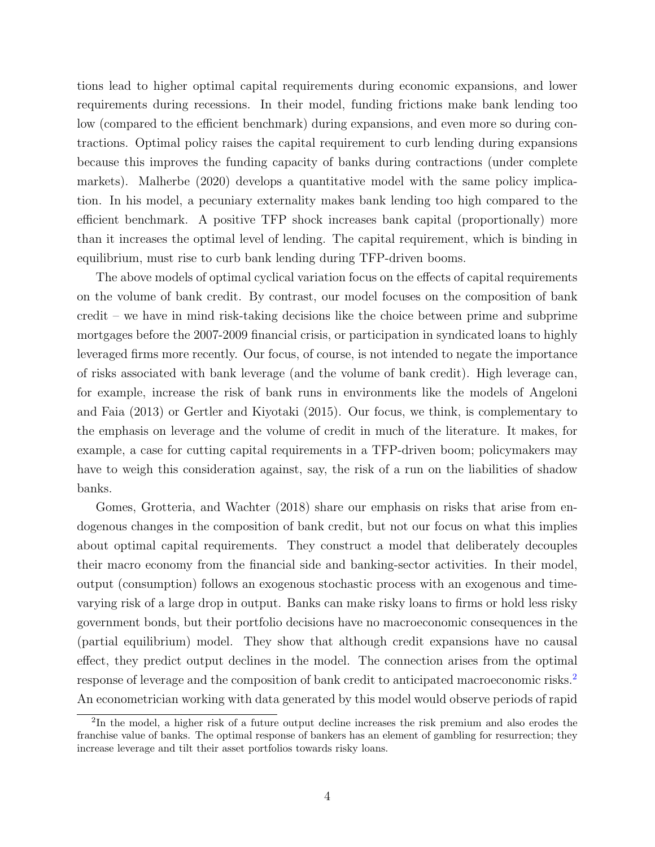tions lead to higher optimal capital requirements during economic expansions, and lower requirements during recessions. In their model, funding frictions make bank lending too low (compared to the efficient benchmark) during expansions, and even more so during contractions. Optimal policy raises the capital requirement to curb lending during expansions because this improves the funding capacity of banks during contractions (under complete markets). Malherbe (2020) develops a quantitative model with the same policy implication. In his model, a pecuniary externality makes bank lending too high compared to the efficient benchmark. A positive TFP shock increases bank capital (proportionally) more than it increases the optimal level of lending. The capital requirement, which is binding in equilibrium, must rise to curb bank lending during TFP-driven booms.

The above models of optimal cyclical variation focus on the effects of capital requirements on the volume of bank credit. By contrast, our model focuses on the composition of bank credit – we have in mind risk-taking decisions like the choice between prime and subprime mortgages before the 2007-2009 financial crisis, or participation in syndicated loans to highly leveraged firms more recently. Our focus, of course, is not intended to negate the importance of risks associated with bank leverage (and the volume of bank credit). High leverage can, for example, increase the risk of bank runs in environments like the models of Angeloni and Faia (2013) or Gertler and Kiyotaki (2015). Our focus, we think, is complementary to the emphasis on leverage and the volume of credit in much of the literature. It makes, for example, a case for cutting capital requirements in a TFP-driven boom; policymakers may have to weigh this consideration against, say, the risk of a run on the liabilities of shadow banks.

Gomes, Grotteria, and Wachter (2018) share our emphasis on risks that arise from endogenous changes in the composition of bank credit, but not our focus on what this implies about optimal capital requirements. They construct a model that deliberately decouples their macro economy from the financial side and banking-sector activities. In their model, output (consumption) follows an exogenous stochastic process with an exogenous and timevarying risk of a large drop in output. Banks can make risky loans to firms or hold less risky government bonds, but their portfolio decisions have no macroeconomic consequences in the (partial equilibrium) model. They show that although credit expansions have no causal effect, they predict output declines in the model. The connection arises from the optimal response of leverage and the composition of bank credit to anticipated macroeconomic risks.[2](#page-4-0) An econometrician working with data generated by this model would observe periods of rapid

<span id="page-4-0"></span><sup>&</sup>lt;sup>2</sup>In the model, a higher risk of a future output decline increases the risk premium and also erodes the franchise value of banks. The optimal response of bankers has an element of gambling for resurrection; they increase leverage and tilt their asset portfolios towards risky loans.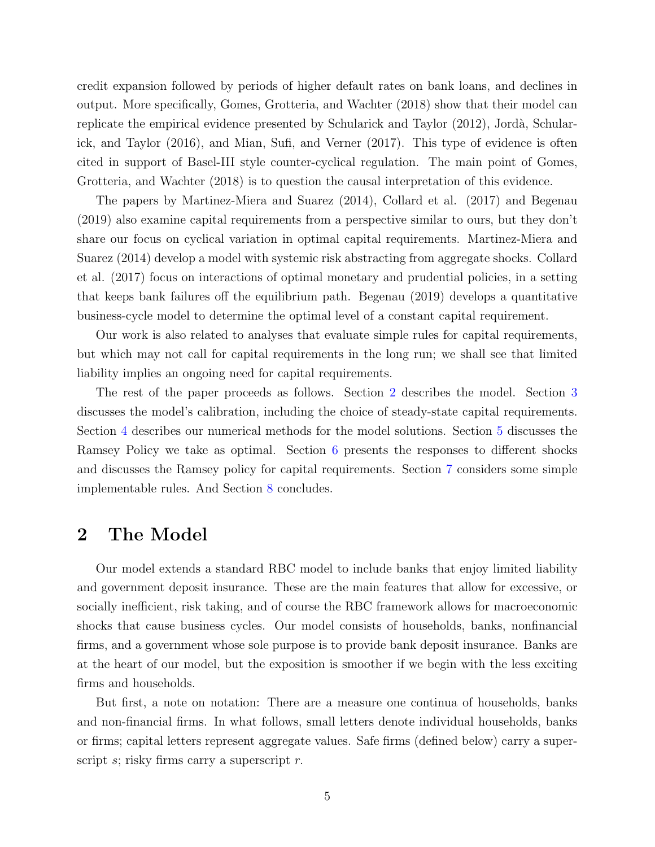credit expansion followed by periods of higher default rates on bank loans, and declines in output. More specifically, Gomes, Grotteria, and Wachter (2018) show that their model can replicate the empirical evidence presented by Schularick and Taylor (2012), Jordà, Schularick, and Taylor (2016), and Mian, Sufi, and Verner (2017). This type of evidence is often cited in support of Basel-III style counter-cyclical regulation. The main point of Gomes, Grotteria, and Wachter (2018) is to question the causal interpretation of this evidence.

The papers by Martinez-Miera and Suarez (2014), Collard et al. (2017) and Begenau (2019) also examine capital requirements from a perspective similar to ours, but they don't share our focus on cyclical variation in optimal capital requirements. Martinez-Miera and Suarez (2014) develop a model with systemic risk abstracting from aggregate shocks. Collard et al. (2017) focus on interactions of optimal monetary and prudential policies, in a setting that keeps bank failures off the equilibrium path. Begenau (2019) develops a quantitative business-cycle model to determine the optimal level of a constant capital requirement.

Our work is also related to analyses that evaluate simple rules for capital requirements, but which may not call for capital requirements in the long run; we shall see that limited liability implies an ongoing need for capital requirements.

The rest of the paper proceeds as follows. Section [2](#page-5-0) describes the model. Section [3](#page-14-0) discusses the model's calibration, including the choice of steady-state capital requirements. Section [4](#page-15-0) describes our numerical methods for the model solutions. Section [5](#page-16-0) discusses the Ramsey Policy we take as optimal. Section [6](#page-17-0) presents the responses to different shocks and discusses the Ramsey policy for capital requirements. Section [7](#page-25-0) considers some simple implementable rules. And Section [8](#page-29-0) concludes.

# <span id="page-5-0"></span>2 The Model

Our model extends a standard RBC model to include banks that enjoy limited liability and government deposit insurance. These are the main features that allow for excessive, or socially inefficient, risk taking, and of course the RBC framework allows for macroeconomic shocks that cause business cycles. Our model consists of households, banks, nonfinancial firms, and a government whose sole purpose is to provide bank deposit insurance. Banks are at the heart of our model, but the exposition is smoother if we begin with the less exciting firms and households.

But first, a note on notation: There are a measure one continua of households, banks and non-financial firms. In what follows, small letters denote individual households, banks or firms; capital letters represent aggregate values. Safe firms (defined below) carry a superscript  $s$ ; risky firms carry a superscript  $r$ .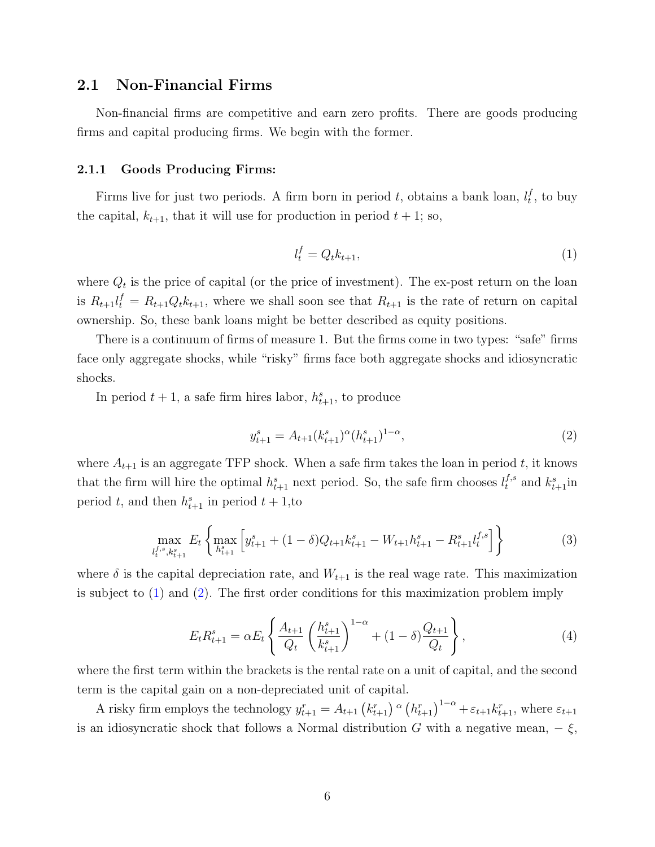### 2.1 Non-Financial Firms

Non-financial firms are competitive and earn zero profits. There are goods producing firms and capital producing firms. We begin with the former.

#### 2.1.1 Goods Producing Firms:

Firms live for just two periods. A firm born in period t, obtains a bank loan,  $l_t^f$  $_t^f$ , to buy the capital,  $k_{t+1}$ , that it will use for production in period  $t + 1$ ; so,

<span id="page-6-0"></span>
$$
l_t^f = Q_t k_{t+1},\tag{1}
$$

where  $Q_t$  is the price of capital (or the price of investment). The ex-post return on the loan is  $R_{t+1}l_t^f = R_{t+1}Q_t k_{t+1}$ , where we shall soon see that  $R_{t+1}$  is the rate of return on capital ownership. So, these bank loans might be better described as equity positions.

There is a continuum of firms of measure 1. But the firms come in two types: "safe" firms face only aggregate shocks, while "risky" firms face both aggregate shocks and idiosyncratic shocks.

In period  $t + 1$ , a safe firm hires labor,  $h_{t+1}^s$ , to produce

<span id="page-6-1"></span>
$$
y_{t+1}^s = A_{t+1}(k_{t+1}^s)^\alpha (h_{t+1}^s)^{1-\alpha},\tag{2}
$$

where  $A_{t+1}$  is an aggregate TFP shock. When a safe firm takes the loan in period t, it knows that the firm will hire the optimal  $h_{t+1}^s$  next period. So, the safe firm chooses  $l_t^{f,s}$  and  $k_{t+1}^s$  in period t, and then  $h_{t+1}^s$  in period  $t + 1$ , to

$$
\max_{l_t^{f,s}, k_{t+1}^s} E_t \left\{ \max_{h_{t+1}^s} \left[ y_{t+1}^s + (1-\delta)Q_{t+1}k_{t+1}^s - W_{t+1}h_{t+1}^s - R_{t+1}^s l_t^{f,s} \right] \right\} \tag{3}
$$

where  $\delta$  is the capital depreciation rate, and  $W_{t+1}$  is the real wage rate. This maximization is subject to  $(1)$  and  $(2)$ . The first order conditions for this maximization problem imply

$$
E_t R_{t+1}^s = \alpha E_t \left\{ \frac{A_{t+1}}{Q_t} \left( \frac{h_{t+1}^s}{k_{t+1}^s} \right)^{1-\alpha} + (1-\delta) \frac{Q_{t+1}}{Q_t} \right\},\tag{4}
$$

where the first term within the brackets is the rental rate on a unit of capital, and the second term is the capital gain on a non-depreciated unit of capital.

A risky firm employs the technology  $y_{t+1}^r = A_{t+1} (k_{t+1}^r) \alpha (h_{t+1}^r)^{1-\alpha} + \varepsilon_{t+1} k_{t+1}^r$ , where  $\varepsilon_{t+1}$ is an idiosyncratic shock that follows a Normal distribution G with a negative mean,  $-\xi$ ,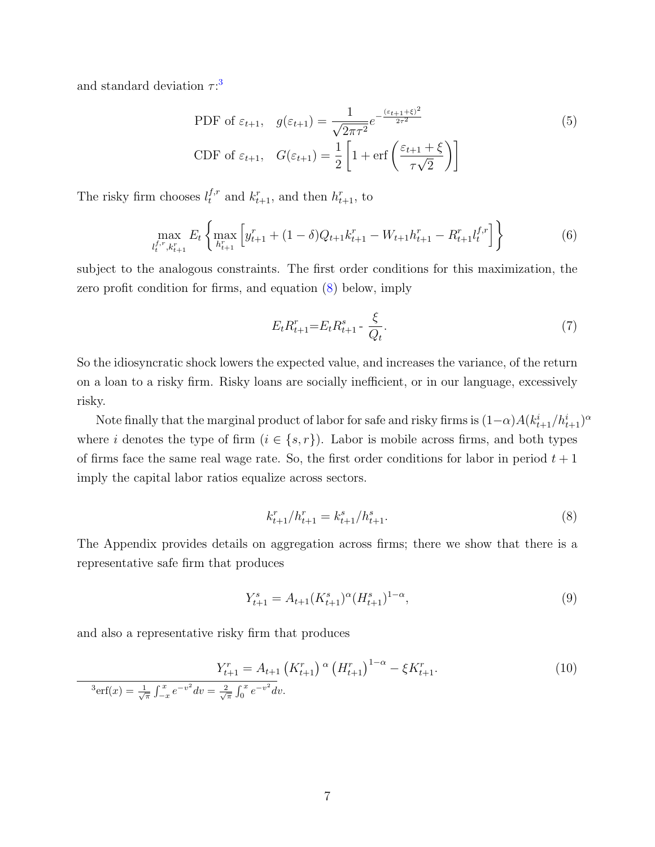and standard deviation  $\tau$ <sup>[3](#page-7-0)</sup>

PDF of 
$$
\varepsilon_{t+1}
$$
,  $g(\varepsilon_{t+1}) = \frac{1}{\sqrt{2\pi\tau^2}} e^{-\frac{(\varepsilon_{t+1} + \xi)^2}{2\tau^2}}$  (5)  
CDF of  $\varepsilon_{t+1}$ ,  $G(\varepsilon_{t+1}) = \frac{1}{2} \left[ 1 + \text{erf}\left(\frac{\varepsilon_{t+1} + \xi}{\tau \sqrt{2}}\right) \right]$ 

The risky firm chooses  $l_t^{f,r}$  and  $k_{t+1}^r$ , and then  $h_{t+1}^r$ , to

$$
\max_{l_t^{f,r},k_{t+1}^r} E_t \left\{ \max_{h_{t+1}^r} \left[ y_{t+1}^r + (1-\delta)Q_{t+1}k_{t+1}^r - W_{t+1}h_{t+1}^r - R_{t+1}^r l_t^{f,r} \right] \right\} \tag{6}
$$

subject to the analogous constraints. The first order conditions for this maximization, the zero profit condition for firms, and equation [\(8\)](#page-7-1) below, imply

$$
E_t R_{t+1}^r = E_t R_{t+1}^s - \frac{\xi}{Q_t}.\tag{7}
$$

So the idiosyncratic shock lowers the expected value, and increases the variance, of the return on a loan to a risky firm. Risky loans are socially inefficient, or in our language, excessively risky.

Note finally that the marginal product of labor for safe and risky firms is  $(1-\alpha)A(k_{t+1}^i/h_{t+1}^i)^\alpha$ where i denotes the type of firm  $(i \in \{s, r\})$ . Labor is mobile across firms, and both types of firms face the same real wage rate. So, the first order conditions for labor in period  $t + 1$ imply the capital labor ratios equalize across sectors.

<span id="page-7-1"></span>
$$
k_{t+1}^r / h_{t+1}^r = k_{t+1}^s / h_{t+1}^s. \tag{8}
$$

The Appendix provides details on aggregation across firms; there we show that there is a representative safe firm that produces

$$
Y_{t+1}^s = A_{t+1}(K_{t+1}^s)^\alpha (H_{t+1}^s)^{1-\alpha},\tag{9}
$$

and also a representative risky firm that produces

<span id="page-7-0"></span>
$$
Y_{t+1}^r = A_{t+1} \left( K_{t+1}^r \right) \alpha \left( H_{t+1}^r \right)^{1-\alpha} - \xi K_{t+1}^r.
$$
\n
$$
{}^{3} \text{erf}(x) = \frac{1}{\sqrt{\pi}} \int_{-x}^{x} e^{-v^2} dv = \frac{2}{\sqrt{\pi}} \int_{0}^{x} e^{-v^2} dv.
$$
\n(10)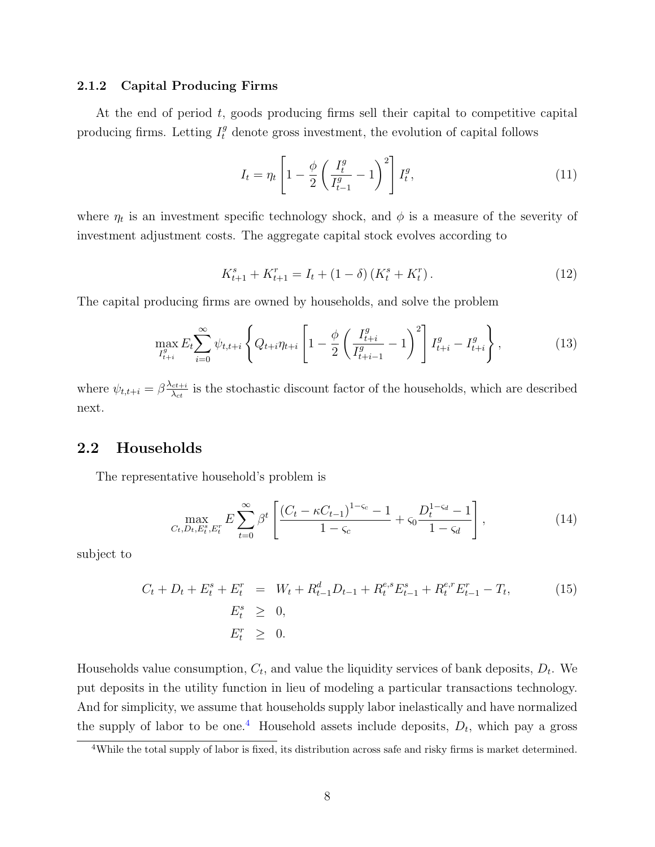#### 2.1.2 Capital Producing Firms

At the end of period  $t$ , goods producing firms sell their capital to competitive capital producing firms. Letting  $I_t^g$  denote gross investment, the evolution of capital follows

<span id="page-8-2"></span>
$$
I_t = \eta_t \left[ 1 - \frac{\phi}{2} \left( \frac{I_t^g}{I_{t-1}^g} - 1 \right)^2 \right] I_t^g, \tag{11}
$$

where  $\eta_t$  is an investment specific technology shock, and  $\phi$  is a measure of the severity of investment adjustment costs. The aggregate capital stock evolves according to

$$
K_{t+1}^s + K_{t+1}^r = I_t + (1 - \delta) \left( K_t^s + K_t^r \right). \tag{12}
$$

The capital producing firms are owned by households, and solve the problem

$$
\max_{I_{t+i}^g} E_t \sum_{i=0}^{\infty} \psi_{t,t+i} \left\{ Q_{t+i} \eta_{t+i} \left[ 1 - \frac{\phi}{2} \left( \frac{I_{t+i}^g}{I_{t+i-1}^g} - 1 \right)^2 \right] I_{t+i}^g - I_{t+i}^g \right\},\tag{13}
$$

where  $\psi_{t,t+i} = \beta \frac{\lambda_{ct+i}}{\lambda_{ct}}$  $\frac{c t + i}{\lambda_{ct}}$  is the stochastic discount factor of the households, which are described next.

# 2.2 Households

The representative household's problem is

<span id="page-8-1"></span>
$$
\max_{C_t, D_t, E_t^s, E_t^r} E \sum_{t=0}^{\infty} \beta^t \left[ \frac{(C_t - \kappa C_{t-1})^{1-\varsigma_c} - 1}{1-\varsigma_c} + \varsigma_0 \frac{D_t^{1-\varsigma_d} - 1}{1-\varsigma_d} \right],
$$
(14)

subject to

$$
C_t + D_t + E_t^s + E_t^r = W_t + R_{t-1}^d D_{t-1} + R_t^{e,s} E_{t-1}^s + R_t^{e,r} E_{t-1}^r - T_t,
$$
\n
$$
E_t^s \geq 0,
$$
\n
$$
E_t^r \geq 0.
$$
\n(15)

Households value consumption,  $C_t$ , and value the liquidity services of bank deposits,  $D_t$ . We put deposits in the utility function in lieu of modeling a particular transactions technology. And for simplicity, we assume that households supply labor inelastically and have normalized the supply of labor to be one.<sup>[4](#page-8-0)</sup> Household assets include deposits,  $D_t$ , which pay a gross

<span id="page-8-0"></span><sup>4</sup>While the total supply of labor is fixed, its distribution across safe and risky firms is market determined.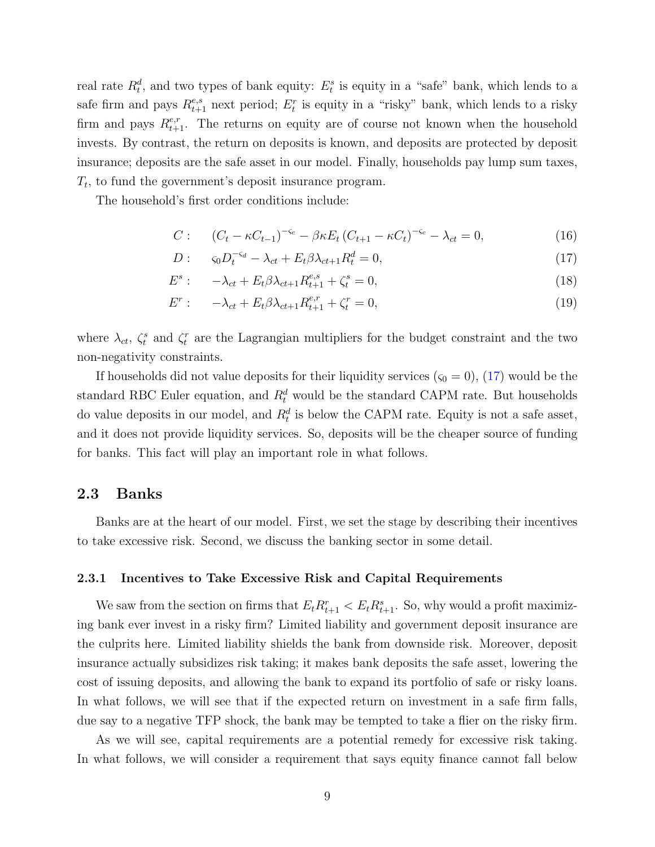real rate  $R_t^d$ , and two types of bank equity:  $E_t^s$  is equity in a "safe" bank, which lends to a safe firm and pays  $R_{t+1}^{e,s}$  next period;  $E_t^r$  is equity in a "risky" bank, which lends to a risky firm and pays  $R_{t+1}^{e,r}$ . The returns on equity are of course not known when the household invests. By contrast, the return on deposits is known, and deposits are protected by deposit insurance; deposits are the safe asset in our model. Finally, households pay lump sum taxes,  $T_t$ , to fund the government's deposit insurance program.

The household's first order conditions include:

<span id="page-9-0"></span>
$$
C: \qquad (C_t - \kappa C_{t-1})^{-\varsigma_c} - \beta \kappa E_t (C_{t+1} - \kappa C_t)^{-\varsigma_c} - \lambda_{ct} = 0, \tag{16}
$$

$$
D: \qquad \varsigma_0 D_t^{-\varsigma_d} - \lambda_{ct} + E_t \beta \lambda_{ct+1} R_t^d = 0,\tag{17}
$$

$$
E^{s}: \t -\lambda_{ct} + E_{t}\beta\lambda_{ct+1}R_{t+1}^{e,s} + \zeta_{t}^{s} = 0,
$$
\t(18)

$$
E^r: \quad -\lambda_{ct} + E_t \beta \lambda_{ct+1} R_{t+1}^{e,r} + \zeta_t^r = 0, \tag{19}
$$

where  $\lambda_{ct}$ ,  $\zeta_t^s$  and  $\zeta_t^r$  are the Lagrangian multipliers for the budget constraint and the two non-negativity constraints.

If households did not value deposits for their liquidity services  $(\varsigma_0 = 0)$ , [\(17\)](#page-9-0) would be the standard RBC Euler equation, and  $R_t^d$  would be the standard CAPM rate. But households do value deposits in our model, and  $R_t^d$  is below the CAPM rate. Equity is not a safe asset, and it does not provide liquidity services. So, deposits will be the cheaper source of funding for banks. This fact will play an important role in what follows.

### 2.3 Banks

Banks are at the heart of our model. First, we set the stage by describing their incentives to take excessive risk. Second, we discuss the banking sector in some detail.

#### 2.3.1 Incentives to Take Excessive Risk and Capital Requirements

We saw from the section on firms that  $E_t R_{t+1}^r < E_t R_{t+1}^s$ . So, why would a profit maximizing bank ever invest in a risky firm? Limited liability and government deposit insurance are the culprits here. Limited liability shields the bank from downside risk. Moreover, deposit insurance actually subsidizes risk taking; it makes bank deposits the safe asset, lowering the cost of issuing deposits, and allowing the bank to expand its portfolio of safe or risky loans. In what follows, we will see that if the expected return on investment in a safe firm falls, due say to a negative TFP shock, the bank may be tempted to take a flier on the risky firm.

As we will see, capital requirements are a potential remedy for excessive risk taking. In what follows, we will consider a requirement that says equity finance cannot fall below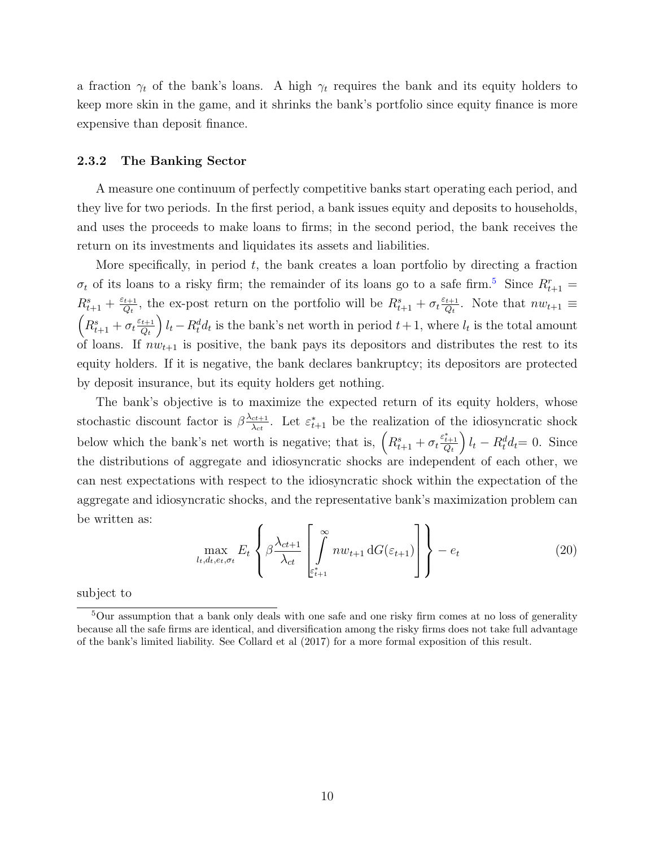a fraction  $\gamma_t$  of the bank's loans. A high  $\gamma_t$  requires the bank and its equity holders to keep more skin in the game, and it shrinks the bank's portfolio since equity finance is more expensive than deposit finance.

#### 2.3.2 The Banking Sector

A measure one continuum of perfectly competitive banks start operating each period, and they live for two periods. In the first period, a bank issues equity and deposits to households, and uses the proceeds to make loans to firms; in the second period, the bank receives the return on its investments and liquidates its assets and liabilities.

More specifically, in period  $t$ , the bank creates a loan portfolio by directing a fraction  $\sigma_t$  of its loans to a risky firm; the remainder of its loans go to a safe firm.<sup>[5](#page-10-0)</sup> Since  $R_{t+1}^r =$  $R_{t+1}^s + \frac{\varepsilon_{t+1}}{Q_t}$  $\frac{t+1}{Q_t}$ , the ex-post return on the portfolio will be  $R_{t+1}^s + \sigma_t \frac{\varepsilon_{t+1}}{Q_t}$  $\frac{t+1}{Q_t}$ . Note that  $nw_{t+1} \equiv$  $\left(R_{t+1}^s + \sigma_t \frac{\varepsilon_{t+1}}{Q_t}\right)$  $Q_t$  $\int l_t - R_t^d d_t$  is the bank's net worth in period  $t + 1$ , where  $l_t$  is the total amount of loans. If  $nw_{t+1}$  is positive, the bank pays its depositors and distributes the rest to its equity holders. If it is negative, the bank declares bankruptcy; its depositors are protected by deposit insurance, but its equity holders get nothing.

The bank's objective is to maximize the expected return of its equity holders, whose stochastic discount factor is  $\beta \frac{\lambda_{ct+1}}{\lambda_{ct}}$  $\frac{c t + 1}{\lambda_{ct}}$ . Let  $\varepsilon_{t+1}^*$  be the realization of the idiosyncratic shock below which the bank's net worth is negative; that is,  $\left(R_{t+1}^s + \sigma_t \frac{\varepsilon_{t+1}^s}{Q_t}\right)$  $\int l_t - R_t^d d_t = 0$ . Since the distributions of aggregate and idiosyncratic shocks are independent of each other, we can nest expectations with respect to the idiosyncratic shock within the expectation of the aggregate and idiosyncratic shocks, and the representative bank's maximization problem can be written as:

<span id="page-10-1"></span>
$$
\max_{l_t, d_t, e_t, \sigma_t} E_t \left\{ \beta \frac{\lambda_{ct+1}}{\lambda_{ct}} \left[ \int\limits_{\varepsilon_{t+1}^*}^{\infty} n w_{t+1} dG(\varepsilon_{t+1}) \right] \right\} - e_t \tag{20}
$$

subject to

<span id="page-10-0"></span><sup>&</sup>lt;sup>5</sup>Our assumption that a bank only deals with one safe and one risky firm comes at no loss of generality because all the safe firms are identical, and diversification among the risky firms does not take full advantage of the bank's limited liability. See Collard et al (2017) for a more formal exposition of this result.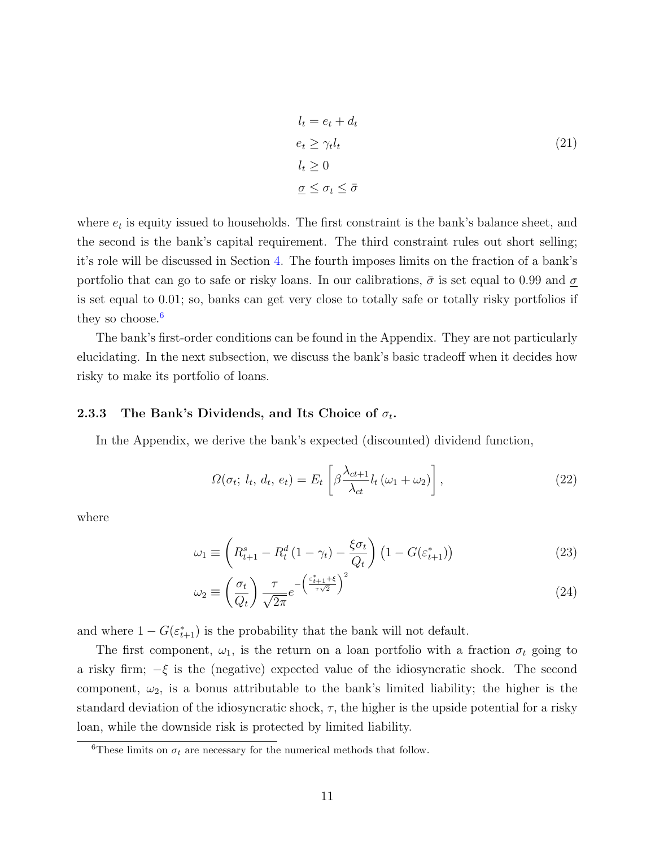$$
l_t = e_t + d_t
$$
  
\n
$$
e_t \ge \gamma_t l_t
$$
  
\n
$$
l_t \ge 0
$$
  
\n
$$
\underline{\sigma} \le \sigma_t \le \bar{\sigma}
$$
\n(21)

where  $e_t$  is equity issued to households. The first constraint is the bank's balance sheet, and the second is the bank's capital requirement. The third constraint rules out short selling; it's role will be discussed in Section [4.](#page-15-0) The fourth imposes limits on the fraction of a bank's portfolio that can go to safe or risky loans. In our calibrations,  $\bar{\sigma}$  is set equal to 0.99 and  $\underline{\sigma}$ is set equal to 0.01; so, banks can get very close to totally safe or totally risky portfolios if they so choose. $6$ 

The bank's first-order conditions can be found in the Appendix. They are not particularly elucidating. In the next subsection, we discuss the bank's basic tradeoff when it decides how risky to make its portfolio of loans.

#### 2.3.3 The Bank's Dividends, and Its Choice of  $\sigma_t$ .

In the Appendix, we derive the bank's expected (discounted) dividend function,

<span id="page-11-3"></span><span id="page-11-1"></span>
$$
\Omega(\sigma_t; l_t, d_t, e_t) = E_t \left[ \beta \frac{\lambda_{ct+1}}{\lambda_{ct}} l_t (\omega_1 + \omega_2) \right], \qquad (22)
$$

where

$$
\omega_1 \equiv \left( R_{t+1}^s - R_t^d \left( 1 - \gamma_t \right) - \frac{\xi \sigma_t}{Q_t} \right) \left( 1 - G(\varepsilon_{t+1}^*) \right) \tag{23}
$$

<span id="page-11-2"></span>
$$
\omega_2 \equiv \left(\frac{\sigma_t}{Q_t}\right) \frac{\tau}{\sqrt{2\pi}} e^{-\left(\frac{\varepsilon_{t+1}^* + \varepsilon}{\tau \sqrt{2}}\right)^2}
$$
\n(24)

and where  $1 - G(\varepsilon_{t+1}^*)$  is the probability that the bank will not default.

The first component,  $\omega_1$ , is the return on a loan portfolio with a fraction  $\sigma_t$  going to a risky firm;  $-\xi$  is the (negative) expected value of the idiosyncratic shock. The second component,  $\omega_2$ , is a bonus attributable to the bank's limited liability; the higher is the standard deviation of the idiosyncratic shock,  $\tau$ , the higher is the upside potential for a risky loan, while the downside risk is protected by limited liability.

<span id="page-11-0"></span><sup>&</sup>lt;sup>6</sup>These limits on  $\sigma_t$  are necessary for the numerical methods that follow.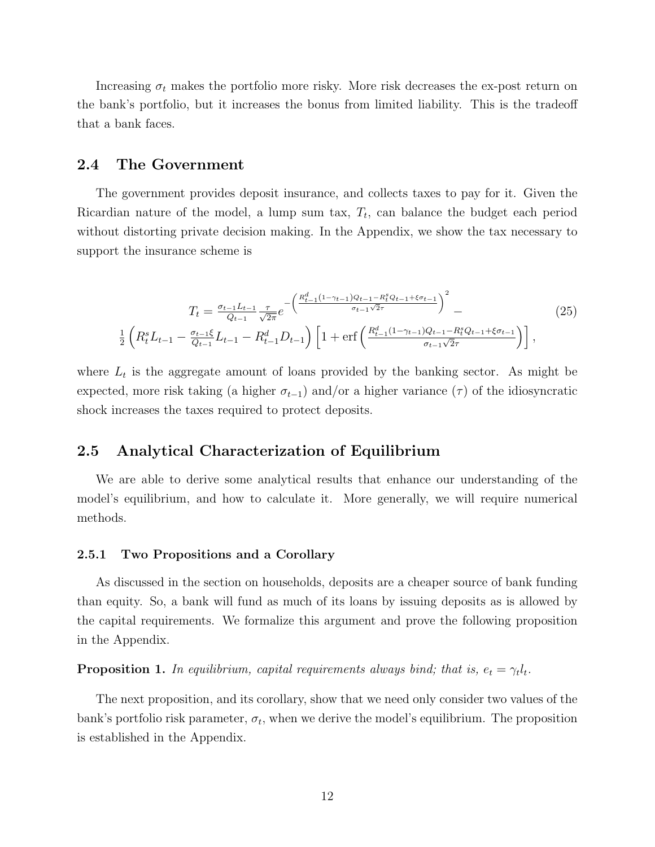Increasing  $\sigma_t$  makes the portfolio more risky. More risk decreases the ex-post return on the bank's portfolio, but it increases the bonus from limited liability. This is the tradeoff that a bank faces.

#### 2.4 The Government

The government provides deposit insurance, and collects taxes to pay for it. Given the Ricardian nature of the model, a lump sum tax,  $T_t$ , can balance the budget each period without distorting private decision making. In the Appendix, we show the tax necessary to support the insurance scheme is

$$
T_{t} = \frac{\sigma_{t-1}L_{t-1}}{Q_{t-1}} \frac{\tau}{\sqrt{2\pi}} e^{-\left(\frac{R_{t-1}^{d}(1-\gamma_{t-1})Q_{t-1}-R_{t}^{s}Q_{t-1}+\xi\sigma_{t-1}}{\sigma_{t-1}\sqrt{2\tau}}\right)^{2}} - \frac{1}{2}\left(R_{t}^{s}L_{t-1} - \frac{\sigma_{t-1}\xi}{Q_{t-1}}L_{t-1} - R_{t-1}^{d}D_{t-1}\right)\left[1 + \text{erf}\left(\frac{R_{t-1}^{d}(1-\gamma_{t-1})Q_{t-1}-R_{t}^{s}Q_{t-1}+\xi\sigma_{t-1}}{\sigma_{t-1}\sqrt{2\tau}}\right)\right],
$$
\n
$$
(25)
$$

where  $L_t$  is the aggregate amount of loans provided by the banking sector. As might be expected, more risk taking (a higher  $\sigma_{t-1}$ ) and/or a higher variance ( $\tau$ ) of the idiosyncratic shock increases the taxes required to protect deposits.

### 2.5 Analytical Characterization of Equilibrium

We are able to derive some analytical results that enhance our understanding of the model's equilibrium, and how to calculate it. More generally, we will require numerical methods.

#### 2.5.1 Two Propositions and a Corollary

As discussed in the section on households, deposits are a cheaper source of bank funding than equity. So, a bank will fund as much of its loans by issuing deposits as is allowed by the capital requirements. We formalize this argument and prove the following proposition in the Appendix.

**Proposition 1.** In equilibrium, capital requirements always bind; that is,  $e_t = \gamma_t l_t$ .

The next proposition, and its corollary, show that we need only consider two values of the bank's portfolio risk parameter,  $\sigma_t$ , when we derive the model's equilibrium. The proposition is established in the Appendix.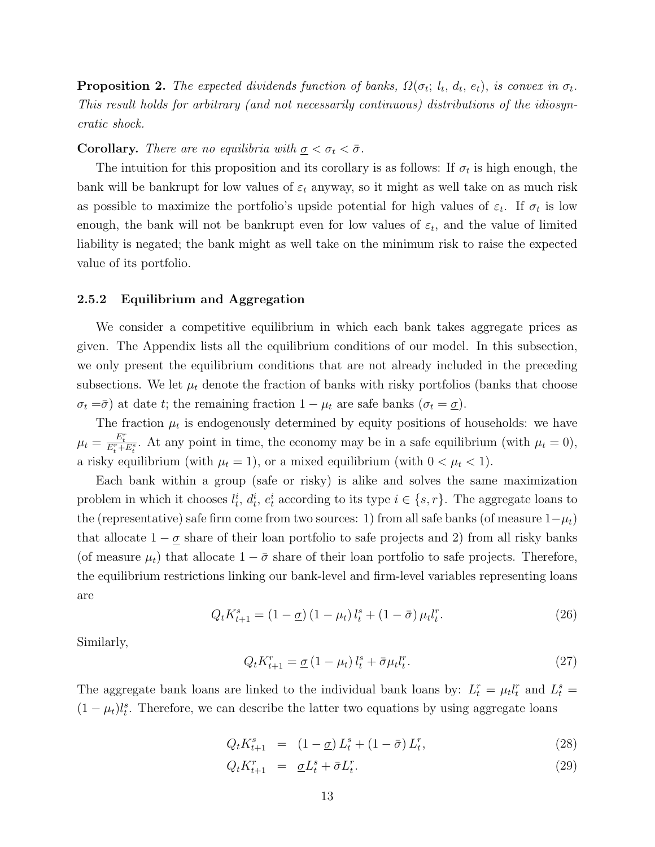**Proposition 2.** The expected dividends function of banks,  $\Omega(\sigma_t; l_t, d_t, e_t)$ , is convex in  $\sigma_t$ . This result holds for arbitrary (and not necessarily continuous) distributions of the idiosyncratic shock.

#### **Corollary.** There are no equilibria with  $\sigma < \sigma_t < \bar{\sigma}$ .

The intuition for this proposition and its corollary is as follows: If  $\sigma_t$  is high enough, the bank will be bankrupt for low values of  $\varepsilon_t$  anyway, so it might as well take on as much risk as possible to maximize the portfolio's upside potential for high values of  $\varepsilon_t$ . If  $\sigma_t$  is low enough, the bank will not be bankrupt even for low values of  $\varepsilon_t$ , and the value of limited liability is negated; the bank might as well take on the minimum risk to raise the expected value of its portfolio.

#### <span id="page-13-0"></span>2.5.2 Equilibrium and Aggregation

We consider a competitive equilibrium in which each bank takes aggregate prices as given. The Appendix lists all the equilibrium conditions of our model. In this subsection, we only present the equilibrium conditions that are not already included in the preceding subsections. We let  $\mu_t$  denote the fraction of banks with risky portfolios (banks that choose  $\sigma_t = \overline{\sigma}$ ) at date t; the remaining fraction  $1 - \mu_t$  are safe banks  $(\sigma_t = \underline{\sigma})$ .

The fraction  $\mu_t$  is endogenously determined by equity positions of households: we have  $\mu_t = \frac{E_t^r}{E_t^r + E_t^s}$ . At any point in time, the economy may be in a safe equilibrium (with  $\mu_t = 0$ ), a risky equilibrium (with  $\mu_t = 1$ ), or a mixed equilibrium (with  $0 < \mu_t < 1$ ).

Each bank within a group (safe or risky) is alike and solves the same maximization problem in which it chooses  $l_t^i$ ,  $d_t^i$ ,  $e_t^i$  according to its type  $i \in \{s, r\}$ . The aggregate loans to the (representative) safe firm come from two sources: 1) from all safe banks (of measure  $1-\mu_t$ ) that allocate  $1 - \underline{\sigma}$  share of their loan portfolio to safe projects and 2) from all risky banks (of measure  $\mu_t$ ) that allocate  $1 - \bar{\sigma}$  share of their loan portfolio to safe projects. Therefore, the equilibrium restrictions linking our bank-level and firm-level variables representing loans are

$$
Q_t K_{t+1}^s = (1 - \underline{\sigma}) (1 - \mu_t) l_t^s + (1 - \bar{\sigma}) \mu_t l_t^r.
$$
 (26)

Similarly,

$$
Q_t K_{t+1}^r = \underline{\sigma} \left( 1 - \mu_t \right) l_t^s + \bar{\sigma} \mu_t l_t^r. \tag{27}
$$

The aggregate bank loans are linked to the individual bank loans by:  $L_t^r = \mu_t l_t^r$  and  $L_t^s =$  $(1 - \mu_t)l_t^s$ . Therefore, we can describe the latter two equations by using aggregate loans

$$
Q_t K_{t+1}^s = (1 - \underline{\sigma}) L_t^s + (1 - \bar{\sigma}) L_t^r, \tag{28}
$$

$$
Q_t K_{t+1}^r = \underline{\sigma} L_t^s + \overline{\sigma} L_t^r. \tag{29}
$$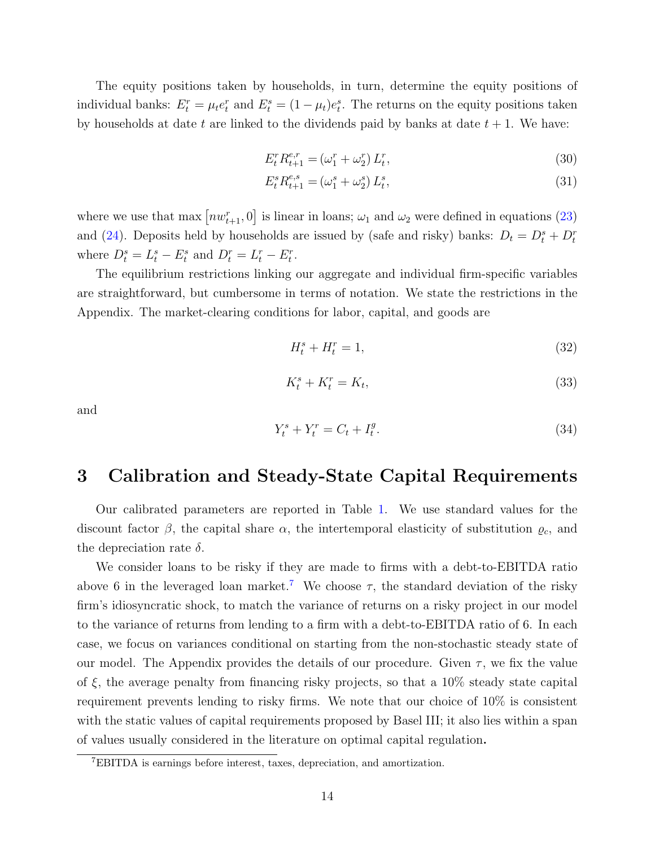The equity positions taken by households, in turn, determine the equity positions of individual banks:  $E_t^r = \mu_t e_t^r$  and  $E_t^s = (1 - \mu_t)e_t^s$ . The returns on the equity positions taken by households at date t are linked to the dividends paid by banks at date  $t + 1$ . We have:

$$
E_t^r R_{t+1}^{e,r} = (\omega_1^r + \omega_2^r) L_t^r,
$$
\n(30)

$$
E_t^s R_{t+1}^{e,s} = (\omega_1^s + \omega_2^s) L_t^s,
$$
\n(31)

where we use that  $\max\left[nw_{t+1}^r, 0\right]$  is linear in loans;  $\omega_1$  and  $\omega_2$  were defined in equations [\(23\)](#page-11-1) and [\(24\)](#page-11-2). Deposits held by households are issued by (safe and risky) banks:  $D_t = D_t^s + D_t^r$ where  $D_t^s = L_t^s - E_t^s$  and  $D_t^r = L_t^r - E_t^r$ .

The equilibrium restrictions linking our aggregate and individual firm-specific variables are straightforward, but cumbersome in terms of notation. We state the restrictions in the Appendix. The market-clearing conditions for labor, capital, and goods are

$$
H_t^s + H_t^r = 1,\t\t(32)
$$

$$
K_t^s + K_t^r = K_t,\tag{33}
$$

and

$$
Y_t^s + Y_t^r = C_t + I_t^g. \t\t(34)
$$

# <span id="page-14-0"></span>3 Calibration and Steady-State Capital Requirements

Our calibrated parameters are reported in Table [1.](#page-31-0) We use standard values for the discount factor  $\beta$ , the capital share  $\alpha$ , the intertemporal elasticity of substitution  $\varrho_c$ , and the depreciation rate  $\delta$ .

We consider loans to be risky if they are made to firms with a debt-to-EBITDA ratio above 6 in the leveraged loan market.<sup>[7](#page-14-1)</sup> We choose  $\tau$ , the standard deviation of the risky firm's idiosyncratic shock, to match the variance of returns on a risky project in our model to the variance of returns from lending to a firm with a debt-to-EBITDA ratio of 6. In each case, we focus on variances conditional on starting from the non-stochastic steady state of our model. The Appendix provides the details of our procedure. Given  $\tau$ , we fix the value of  $\xi$ , the average penalty from financing risky projects, so that a 10% steady state capital requirement prevents lending to risky firms. We note that our choice of 10% is consistent with the static values of capital requirements proposed by Basel III; it also lies within a span of values usually considered in the literature on optimal capital regulation.

<span id="page-14-1"></span><sup>7</sup>EBITDA is earnings before interest, taxes, depreciation, and amortization.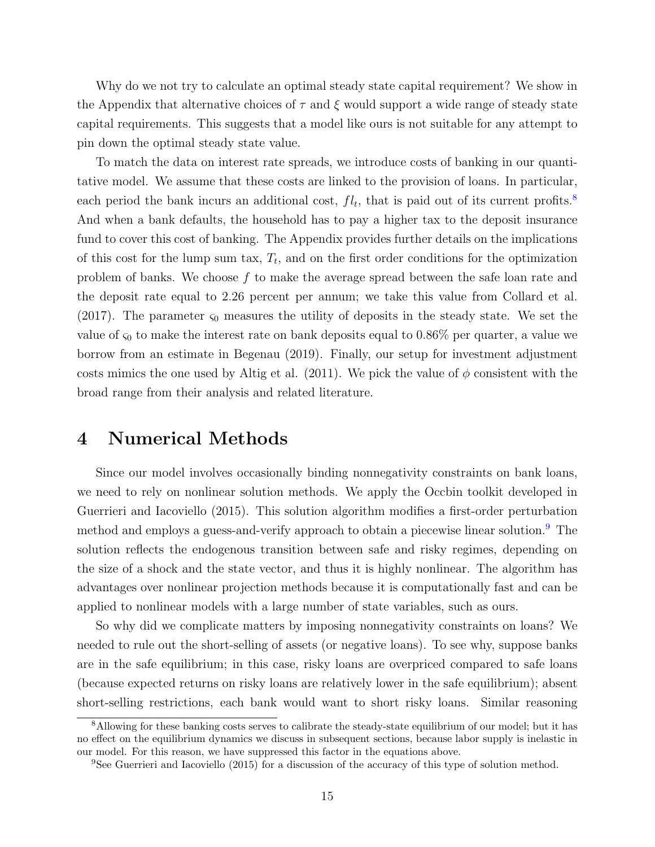Why do we not try to calculate an optimal steady state capital requirement? We show in the Appendix that alternative choices of  $\tau$  and  $\xi$  would support a wide range of steady state capital requirements. This suggests that a model like ours is not suitable for any attempt to pin down the optimal steady state value.

To match the data on interest rate spreads, we introduce costs of banking in our quantitative model. We assume that these costs are linked to the provision of loans. In particular, each period the bank incurs an additional cost,  $fl_t$ , that is paid out of its current profits.<sup>[8](#page-15-1)</sup> And when a bank defaults, the household has to pay a higher tax to the deposit insurance fund to cover this cost of banking. The Appendix provides further details on the implications of this cost for the lump sum tax,  $T_t$ , and on the first order conditions for the optimization problem of banks. We choose  $f$  to make the average spread between the safe loan rate and the deposit rate equal to 2.26 percent per annum; we take this value from Collard et al. (2017). The parameter  $\varsigma_0$  measures the utility of deposits in the steady state. We set the value of  $\varsigma_0$  to make the interest rate on bank deposits equal to 0.86% per quarter, a value we borrow from an estimate in Begenau (2019). Finally, our setup for investment adjustment costs mimics the one used by Altig et al. (2011). We pick the value of  $\phi$  consistent with the broad range from their analysis and related literature.

# <span id="page-15-0"></span>4 Numerical Methods

Since our model involves occasionally binding nonnegativity constraints on bank loans, we need to rely on nonlinear solution methods. We apply the Occbin toolkit developed in Guerrieri and Iacoviello (2015). This solution algorithm modifies a first-order perturbation method and employs a guess-and-verify approach to obtain a piecewise linear solution.<sup>[9](#page-15-2)</sup> The solution reflects the endogenous transition between safe and risky regimes, depending on the size of a shock and the state vector, and thus it is highly nonlinear. The algorithm has advantages over nonlinear projection methods because it is computationally fast and can be applied to nonlinear models with a large number of state variables, such as ours.

So why did we complicate matters by imposing nonnegativity constraints on loans? We needed to rule out the short-selling of assets (or negative loans). To see why, suppose banks are in the safe equilibrium; in this case, risky loans are overpriced compared to safe loans (because expected returns on risky loans are relatively lower in the safe equilibrium); absent short-selling restrictions, each bank would want to short risky loans. Similar reasoning

<span id="page-15-1"></span><sup>&</sup>lt;sup>8</sup>Allowing for these banking costs serves to calibrate the steady-state equilibrium of our model; but it has no effect on the equilibrium dynamics we discuss in subsequent sections, because labor supply is inelastic in our model. For this reason, we have suppressed this factor in the equations above.

<span id="page-15-2"></span><sup>9</sup>See Guerrieri and Iacoviello (2015) for a discussion of the accuracy of this type of solution method.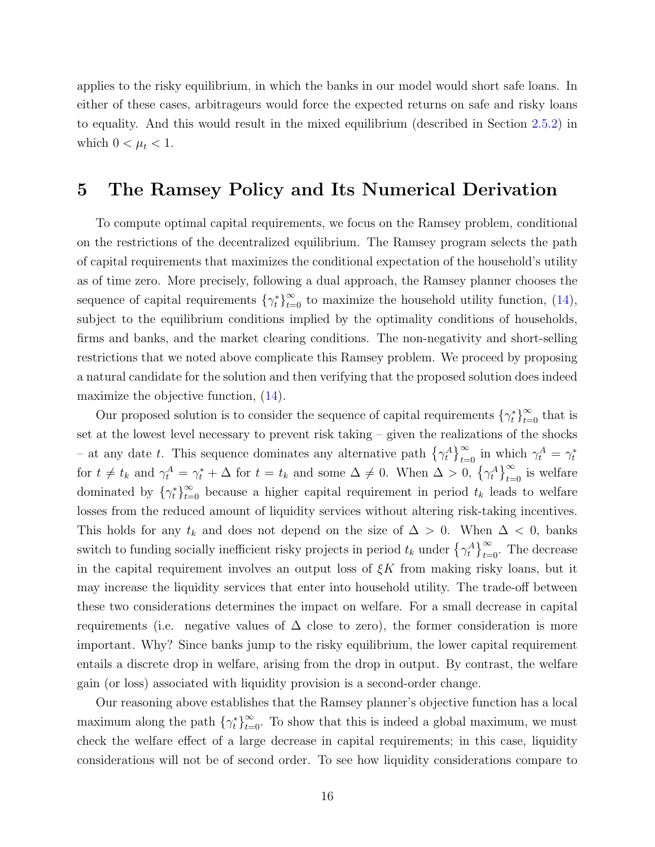applies to the risky equilibrium, in which the banks in our model would short safe loans. In either of these cases, arbitrageurs would force the expected returns on safe and risky loans to equality. And this would result in the mixed equilibrium (described in Section [2.5.2\)](#page-13-0) in which  $0 < \mu_t < 1$ .

# <span id="page-16-0"></span>5 The Ramsey Policy and Its Numerical Derivation

To compute optimal capital requirements, we focus on the Ramsey problem, conditional on the restrictions of the decentralized equilibrium. The Ramsey program selects the path of capital requirements that maximizes the conditional expectation of the household's utility as of time zero. More precisely, following a dual approach, the Ramsey planner chooses the sequence of capital requirements  $\{\gamma_t^*\}_{t=0}^{\infty}$  to maximize the household utility function, [\(14\)](#page-8-1), subject to the equilibrium conditions implied by the optimality conditions of households, firms and banks, and the market clearing conditions. The non-negativity and short-selling restrictions that we noted above complicate this Ramsey problem. We proceed by proposing a natural candidate for the solution and then verifying that the proposed solution does indeed maximize the objective function,  $(14)$ .

Our proposed solution is to consider the sequence of capital requirements  $\{\gamma_t^*\}_{t=0}^\infty$  that is set at the lowest level necessary to prevent risk taking – given the realizations of the shocks – at any date t. This sequence dominates any alternative path  $\{\gamma_t^A\}_{t=0}^{\infty}$  in which  $\gamma_t^A = \gamma_t^*$ for  $t \neq t_k$  and  $\gamma_t^A = \gamma_t^* + \Delta$  for  $t = t_k$  and some  $\Delta \neq 0$ . When  $\Delta > 0$ ,  $\{\gamma_t^A\}_{t=0}^{\infty}$  is welfare dominated by  $\{\gamma_t^*\}_{t=0}^{\infty}$  because a higher capital requirement in period  $t_k$  leads to welfare losses from the reduced amount of liquidity services without altering risk-taking incentives. This holds for any  $t_k$  and does not depend on the size of  $\Delta > 0$ . When  $\Delta < 0$ , banks switch to funding socially inefficient risky projects in period  $t_k$  under  $\{\gamma_t^A\}_{t=0}^{\infty}$ . The decrease in the capital requirement involves an output loss of  $\xi K$  from making risky loans, but it may increase the liquidity services that enter into household utility. The trade-off between these two considerations determines the impact on welfare. For a small decrease in capital requirements (i.e. negative values of  $\Delta$  close to zero), the former consideration is more important. Why? Since banks jump to the risky equilibrium, the lower capital requirement entails a discrete drop in welfare, arising from the drop in output. By contrast, the welfare gain (or loss) associated with liquidity provision is a second-order change.

Our reasoning above establishes that the Ramsey planner's objective function has a local maximum along the path  $\{\gamma_t^*\}_{t=0}^{\infty}$ . To show that this is indeed a global maximum, we must check the welfare effect of a large decrease in capital requirements; in this case, liquidity considerations will not be of second order. To see how liquidity considerations compare to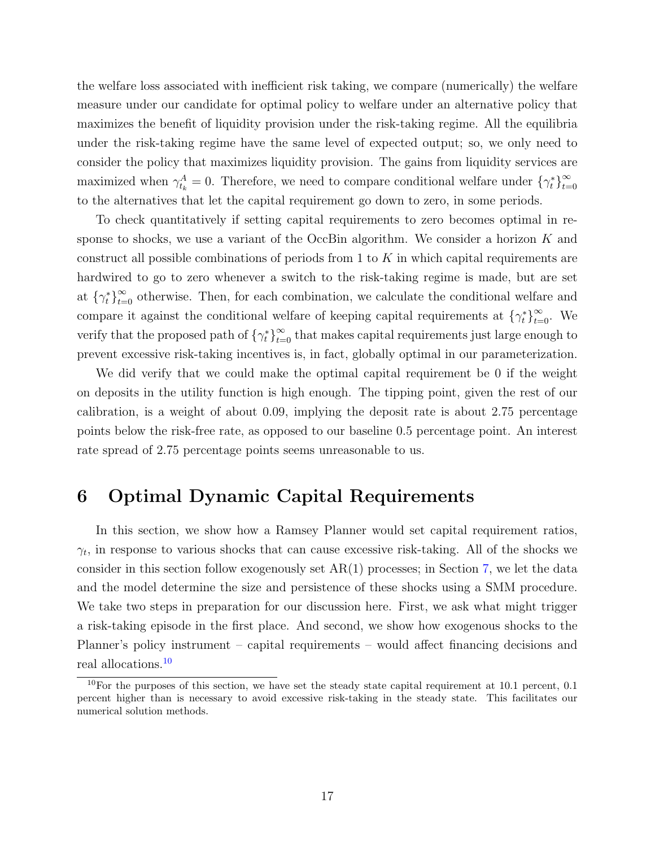the welfare loss associated with inefficient risk taking, we compare (numerically) the welfare measure under our candidate for optimal policy to welfare under an alternative policy that maximizes the benefit of liquidity provision under the risk-taking regime. All the equilibria under the risk-taking regime have the same level of expected output; so, we only need to consider the policy that maximizes liquidity provision. The gains from liquidity services are maximized when  $\gamma_{t_k}^A = 0$ . Therefore, we need to compare conditional welfare under  $\{\gamma_t^*\}_{t=0}^{\infty}$  $t=0$ to the alternatives that let the capital requirement go down to zero, in some periods.

To check quantitatively if setting capital requirements to zero becomes optimal in response to shocks, we use a variant of the OccBin algorithm. We consider a horizon  $K$  and construct all possible combinations of periods from 1 to  $K$  in which capital requirements are hardwired to go to zero whenever a switch to the risk-taking regime is made, but are set at  $\{\gamma_t^*\}_{t=0}^{\infty}$  otherwise. Then, for each combination, we calculate the conditional welfare and compare it against the conditional welfare of keeping capital requirements at  $\{\gamma_t^*\}_{t=0}^{\infty}$ . We verify that the proposed path of  $\{\gamma_t^*\}_{t=0}^{\infty}$  that makes capital requirements just large enough to prevent excessive risk-taking incentives is, in fact, globally optimal in our parameterization.

We did verify that we could make the optimal capital requirement be 0 if the weight on deposits in the utility function is high enough. The tipping point, given the rest of our calibration, is a weight of about 0.09, implying the deposit rate is about 2.75 percentage points below the risk-free rate, as opposed to our baseline 0.5 percentage point. An interest rate spread of 2.75 percentage points seems unreasonable to us.

# <span id="page-17-0"></span>6 Optimal Dynamic Capital Requirements

In this section, we show how a Ramsey Planner would set capital requirement ratios,  $\gamma_t$ , in response to various shocks that can cause excessive risk-taking. All of the shocks we consider in this section follow exogenously set  $AR(1)$  processes; in Section [7,](#page-25-0) we let the data and the model determine the size and persistence of these shocks using a SMM procedure. We take two steps in preparation for our discussion here. First, we ask what might trigger a risk-taking episode in the first place. And second, we show how exogenous shocks to the Planner's policy instrument – capital requirements – would affect financing decisions and real allocations.[10](#page-17-1)

<span id="page-17-1"></span> $10$ For the purposes of this section, we have set the steady state capital requirement at 10.1 percent, 0.1 percent higher than is necessary to avoid excessive risk-taking in the steady state. This facilitates our numerical solution methods.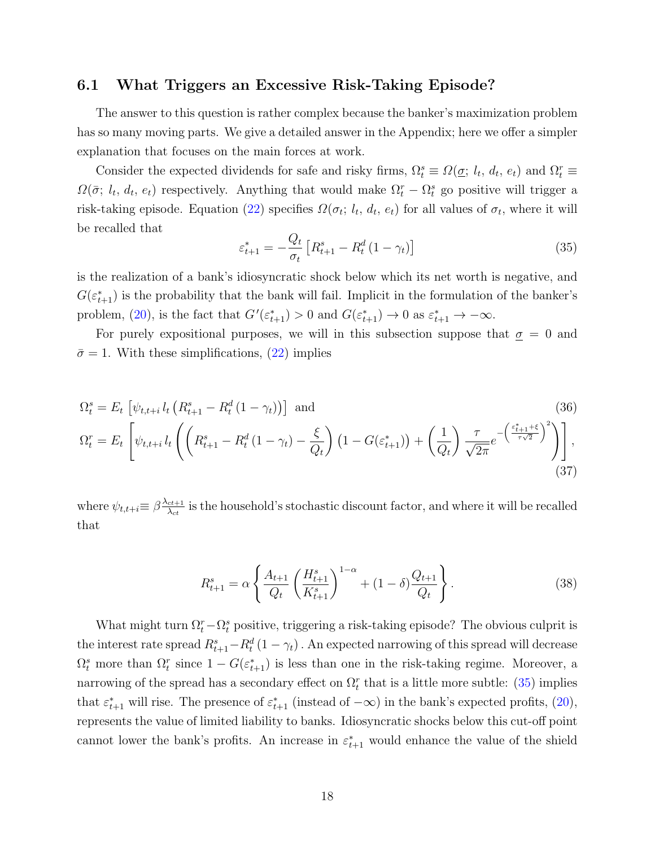### <span id="page-18-2"></span>6.1 What Triggers an Excessive Risk-Taking Episode?

The answer to this question is rather complex because the banker's maximization problem has so many moving parts. We give a detailed answer in the Appendix; here we offer a simpler explanation that focuses on the main forces at work.

Consider the expected dividends for safe and risky firms,  $\Omega_t^s \equiv \Omega(\underline{\sigma}; l_t, d_t, e_t)$  and  $\Omega_t^r \equiv$  $\Omega(\bar{\sigma}; l_t, d_t, e_t)$  respectively. Anything that would make  $\Omega_t^r - \Omega_t^s$  go positive will trigger a risk-taking episode. Equation [\(22\)](#page-11-3) specifies  $\Omega(\sigma_t; l_t, d_t, e_t)$  for all values of  $\sigma_t$ , where it will be recalled that

<span id="page-18-0"></span>
$$
\varepsilon_{t+1}^{*} = -\frac{Q_t}{\sigma_t} \left[ R_{t+1}^s - R_t^d \left( 1 - \gamma_t \right) \right]
$$
\n(35)

is the realization of a bank's idiosyncratic shock below which its net worth is negative, and  $G(\varepsilon_{t+1}^*)$  is the probability that the bank will fail. Implicit in the formulation of the banker's problem, [\(20\)](#page-10-1), is the fact that  $G'(\varepsilon_{t+1}^*) > 0$  and  $G(\varepsilon_{t+1}^*) \to 0$  as  $\varepsilon_{t+1}^* \to -\infty$ .

For purely expositional purposes, we will in this subsection suppose that  $\sigma = 0$  and  $\bar{\sigma} = 1$ . With these simplifications, [\(22\)](#page-11-3) implies

$$
\Omega_t^s = E_t \left[ \psi_{t,t+i} l_t \left( R_{t+1}^s - R_t^d \left( 1 - \gamma_t \right) \right) \right] \text{ and } \tag{36}
$$
\n
$$
\Omega_t^r = E_t \left[ \psi_{t,t+i} l_t \left( \left( R_{t+1}^s - R_t^d \left( 1 - \gamma_t \right) - \frac{\xi}{Q_t} \right) \left( 1 - G(\varepsilon_{t+1}^*) \right) + \left( \frac{1}{Q_t} \right) \frac{\tau}{\sqrt{2\pi}} e^{-\left( \frac{\varepsilon_{t+1}^s + \xi}{\tau \sqrt{2}} \right)^2} \right) \right], \tag{37}
$$

where  $\psi_{t,t+i} \equiv \beta \frac{\lambda_{ct+1}}{\lambda_{ct}}$  $\frac{ct+1}{\lambda_{ct}}$  is the household's stochastic discount factor, and where it will be recalled that

<span id="page-18-3"></span><span id="page-18-1"></span>
$$
R_{t+1}^{s} = \alpha \left\{ \frac{A_{t+1}}{Q_t} \left( \frac{H_{t+1}^{s}}{K_{t+1}^{s}} \right)^{1-\alpha} + (1-\delta) \frac{Q_{t+1}}{Q_t} \right\}.
$$
 (38)

What might turn  $\Omega_t^r - \Omega_t^s$  positive, triggering a risk-taking episode? The obvious culprit is the interest rate spread  $R_{t+1}^s - R_t^d (1 - \gamma_t)$ . An expected narrowing of this spread will decrease  $\Omega_t^s$  more than  $\Omega_t^r$  since  $1 - G(\varepsilon_{t+1}^*)$  is less than one in the risk-taking regime. Moreover, a narrowing of the spread has a secondary effect on  $\Omega_t^r$  that is a little more subtle: [\(35\)](#page-18-0) implies that  $\varepsilon_{t+1}^*$  will rise. The presence of  $\varepsilon_{t+1}^*$  (instead of  $-\infty$ ) in the bank's expected profits, [\(20\)](#page-10-1), represents the value of limited liability to banks. Idiosyncratic shocks below this cut-off point cannot lower the bank's profits. An increase in  $\varepsilon_{t+1}^*$  would enhance the value of the shield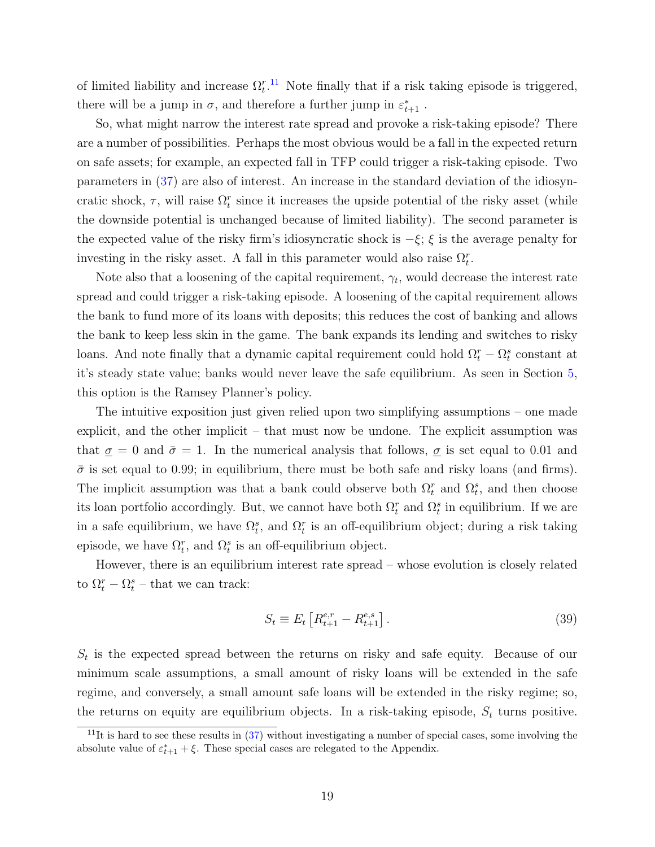of limited liability and increase  $\Omega_t^{r,11}$  $\Omega_t^{r,11}$  $\Omega_t^{r,11}$  Note finally that if a risk taking episode is triggered, there will be a jump in  $\sigma$ , and therefore a further jump in  $\varepsilon_{t+1}^*$ .

So, what might narrow the interest rate spread and provoke a risk-taking episode? There are a number of possibilities. Perhaps the most obvious would be a fall in the expected return on safe assets; for example, an expected fall in TFP could trigger a risk-taking episode. Two parameters in [\(37\)](#page-18-1) are also of interest. An increase in the standard deviation of the idiosyncratic shock,  $\tau$ , will raise  $\Omega_t^r$  since it increases the upside potential of the risky asset (while the downside potential is unchanged because of limited liability). The second parameter is the expected value of the risky firm's idiosyncratic shock is  $-\xi$ ;  $\xi$  is the average penalty for investing in the risky asset. A fall in this parameter would also raise  $\Omega_t^r$ .

Note also that a loosening of the capital requirement,  $\gamma_t$ , would decrease the interest rate spread and could trigger a risk-taking episode. A loosening of the capital requirement allows the bank to fund more of its loans with deposits; this reduces the cost of banking and allows the bank to keep less skin in the game. The bank expands its lending and switches to risky loans. And note finally that a dynamic capital requirement could hold  $\Omega_t^r - \Omega_t^s$  constant at it's steady state value; banks would never leave the safe equilibrium. As seen in Section [5,](#page-16-0) this option is the Ramsey Planner's policy.

The intuitive exposition just given relied upon two simplifying assumptions – one made explicit, and the other implicit – that must now be undone. The explicit assumption was that  $\sigma = 0$  and  $\bar{\sigma} = 1$ . In the numerical analysis that follows,  $\sigma$  is set equal to 0.01 and  $\bar{\sigma}$  is set equal to 0.99; in equilibrium, there must be both safe and risky loans (and firms). The implicit assumption was that a bank could observe both  $\Omega_t^r$  and  $\Omega_t^s$ , and then choose its loan portfolio accordingly. But, we cannot have both  $\Omega_t^r$  and  $\Omega_t^s$  in equilibrium. If we are in a safe equilibrium, we have  $\Omega_t^s$ , and  $\Omega_t^r$  is an off-equilibrium object; during a risk taking episode, we have  $\Omega_t^r$ , and  $\Omega_t^s$  is an off-equilibrium object.

However, there is an equilibrium interest rate spread – whose evolution is closely related to  $\Omega_t^r - \Omega_t^s$  – that we can track:

$$
S_t \equiv E_t \left[ R_{t+1}^{e,r} - R_{t+1}^{e,s} \right]. \tag{39}
$$

 $S_t$  is the expected spread between the returns on risky and safe equity. Because of our minimum scale assumptions, a small amount of risky loans will be extended in the safe regime, and conversely, a small amount safe loans will be extended in the risky regime; so, the returns on equity are equilibrium objects. In a risk-taking episode,  $S_t$  turns positive.

<span id="page-19-0"></span><sup>&</sup>lt;sup>11</sup>It is hard to see these results in  $(37)$  without investigating a number of special cases, some involving the absolute value of  $\varepsilon_{t+1}^* + \xi$ . These special cases are relegated to the Appendix.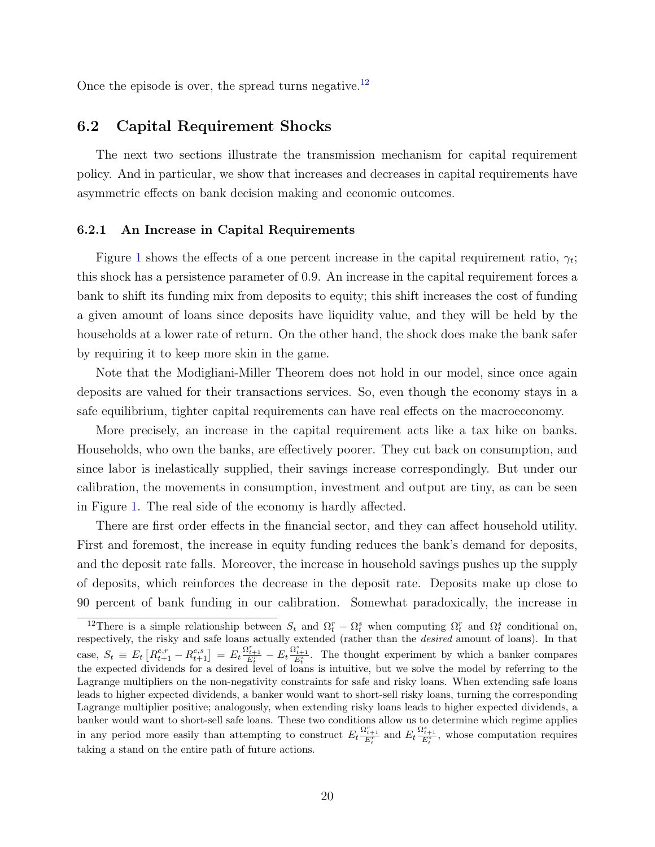Once the episode is over, the spread turns negative.<sup>[12](#page-20-0)</sup>

### 6.2 Capital Requirement Shocks

The next two sections illustrate the transmission mechanism for capital requirement policy. And in particular, we show that increases and decreases in capital requirements have asymmetric effects on bank decision making and economic outcomes.

#### 6.2.1 An Increase in Capital Requirements

Figure [1](#page-37-0) shows the effects of a one percent increase in the capital requirement ratio,  $\gamma_t$ ; this shock has a persistence parameter of 0.9. An increase in the capital requirement forces a bank to shift its funding mix from deposits to equity; this shift increases the cost of funding a given amount of loans since deposits have liquidity value, and they will be held by the households at a lower rate of return. On the other hand, the shock does make the bank safer by requiring it to keep more skin in the game.

Note that the Modigliani-Miller Theorem does not hold in our model, since once again deposits are valued for their transactions services. So, even though the economy stays in a safe equilibrium, tighter capital requirements can have real effects on the macroeconomy.

More precisely, an increase in the capital requirement acts like a tax hike on banks. Households, who own the banks, are effectively poorer. They cut back on consumption, and since labor is inelastically supplied, their savings increase correspondingly. But under our calibration, the movements in consumption, investment and output are tiny, as can be seen in Figure [1.](#page-37-0) The real side of the economy is hardly affected.

There are first order effects in the financial sector, and they can affect household utility. First and foremost, the increase in equity funding reduces the bank's demand for deposits, and the deposit rate falls. Moreover, the increase in household savings pushes up the supply of deposits, which reinforces the decrease in the deposit rate. Deposits make up close to 90 percent of bank funding in our calibration. Somewhat paradoxically, the increase in

<span id="page-20-0"></span><sup>&</sup>lt;sup>12</sup>There is a simple relationship between  $S_t$  and  $\Omega_t^r - \Omega_t^s$  when computing  $\Omega_t^r$  and  $\Omega_t^s$  conditional on, respectively, the risky and safe loans actually extended (rather than the desired amount of loans). In that case,  $S_t \equiv E_t \left[ R_{t+1}^{e,r} - R_{t+1}^{e,s} \right] = E_t \frac{\Omega_{t+1}^r}{E_t^r} - E_t \frac{\Omega_{t+1}^s}{E_t^s}$ . The thought experiment by which a banker compares the expected dividends for a desired level of loans is intuitive, but we solve the model by referring to the Lagrange multipliers on the non-negativity constraints for safe and risky loans. When extending safe loans leads to higher expected dividends, a banker would want to short-sell risky loans, turning the corresponding Lagrange multiplier positive; analogously, when extending risky loans leads to higher expected dividends, a banker would want to short-sell safe loans. These two conditions allow us to determine which regime applies in any period more easily than attempting to construct  $E_t \frac{\Omega_{t+1}^r}{E_t^r}$  and  $E_t \frac{\Omega_{t+1}^s}{E_t^s}$ , whose computation requires taking a stand on the entire path of future actions.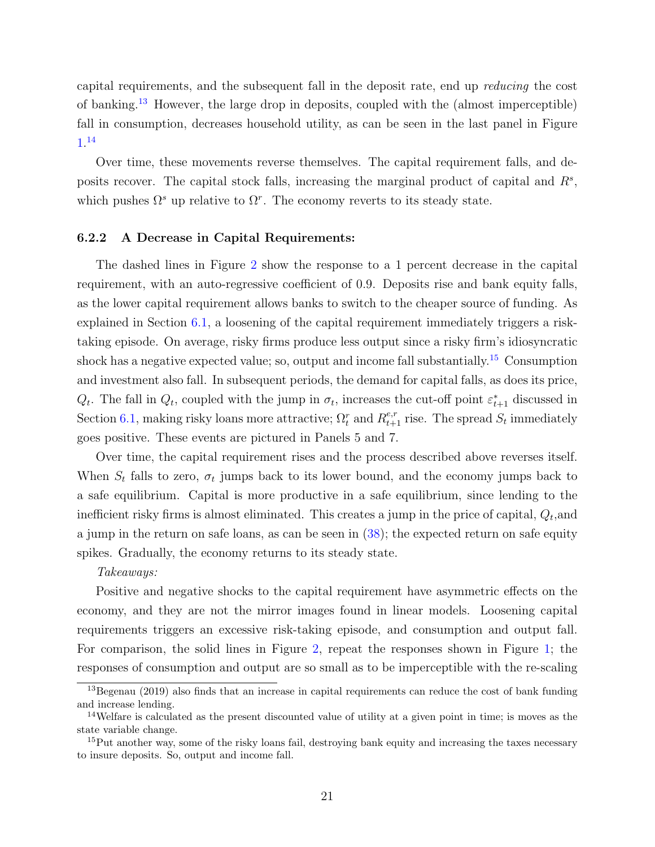capital requirements, and the subsequent fall in the deposit rate, end up reducing the cost of banking.[13](#page-21-0) However, the large drop in deposits, coupled with the (almost imperceptible) fall in consumption, decreases household utility, as can be seen in the last panel in Figure [1.](#page-37-0) [14](#page-21-1)

Over time, these movements reverse themselves. The capital requirement falls, and deposits recover. The capital stock falls, increasing the marginal product of capital and  $R^s$ , which pushes  $\Omega^s$  up relative to  $\Omega^r$ . The economy reverts to its steady state.

#### 6.2.2 A Decrease in Capital Requirements:

The dashed lines in Figure [2](#page-38-0) show the response to a 1 percent decrease in the capital requirement, with an auto-regressive coefficient of 0.9. Deposits rise and bank equity falls, as the lower capital requirement allows banks to switch to the cheaper source of funding. As explained in Section [6.1,](#page-18-2) a loosening of the capital requirement immediately triggers a risktaking episode. On average, risky firms produce less output since a risky firm's idiosyncratic shock has a negative expected value; so, output and income fall substantially.<sup>[15](#page-21-2)</sup> Consumption and investment also fall. In subsequent periods, the demand for capital falls, as does its price,  $Q_t$ . The fall in  $Q_t$ , coupled with the jump in  $\sigma_t$ , increases the cut-off point  $\varepsilon_{t+1}^*$  discussed in Section [6.1,](#page-18-2) making risky loans more attractive;  $\Omega_t^r$  and  $R_{t+1}^{e,r}$  rise. The spread  $S_t$  immediately goes positive. These events are pictured in Panels 5 and 7.

Over time, the capital requirement rises and the process described above reverses itself. When  $S_t$  falls to zero,  $\sigma_t$  jumps back to its lower bound, and the economy jumps back to a safe equilibrium. Capital is more productive in a safe equilibrium, since lending to the inefficient risky firms is almost eliminated. This creates a jump in the price of capital,  $Q_t$ , and a jump in the return on safe loans, as can be seen in [\(38\)](#page-18-3); the expected return on safe equity spikes. Gradually, the economy returns to its steady state.

#### Takeaways:

Positive and negative shocks to the capital requirement have asymmetric effects on the economy, and they are not the mirror images found in linear models. Loosening capital requirements triggers an excessive risk-taking episode, and consumption and output fall. For comparison, the solid lines in Figure [2,](#page-38-0) repeat the responses shown in Figure [1;](#page-37-0) the responses of consumption and output are so small as to be imperceptible with the re-scaling

<span id="page-21-0"></span><sup>&</sup>lt;sup>13</sup>Begenau (2019) also finds that an increase in capital requirements can reduce the cost of bank funding and increase lending.

<span id="page-21-1"></span><sup>14</sup>Welfare is calculated as the present discounted value of utility at a given point in time; is moves as the state variable change.

<span id="page-21-2"></span><sup>&</sup>lt;sup>15</sup>Put another way, some of the risky loans fail, destroying bank equity and increasing the taxes necessary to insure deposits. So, output and income fall.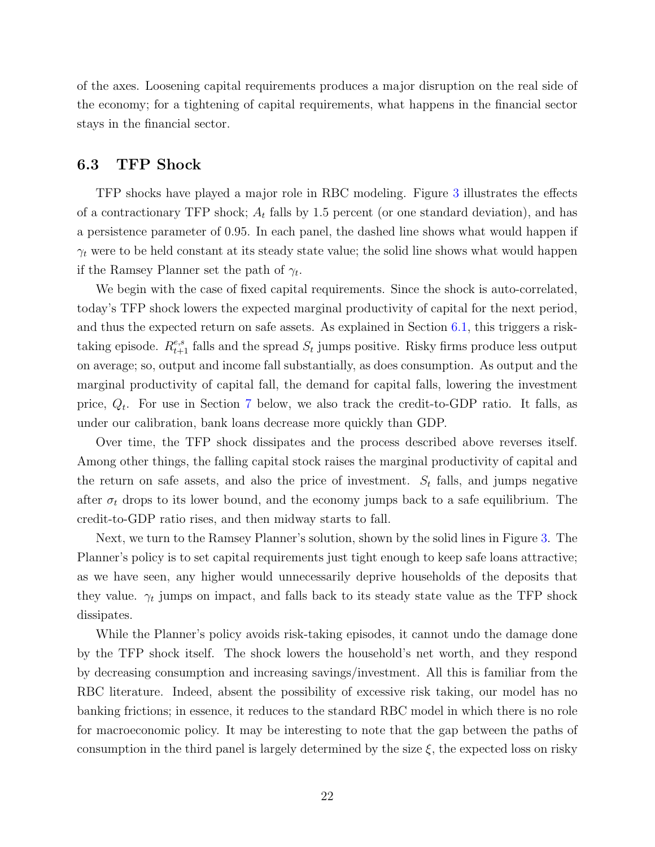of the axes. Loosening capital requirements produces a major disruption on the real side of the economy; for a tightening of capital requirements, what happens in the financial sector stays in the financial sector.

### 6.3 TFP Shock

TFP shocks have played a major role in RBC modeling. Figure [3](#page-39-0) illustrates the effects of a contractionary TFP shock;  $A_t$  falls by 1.5 percent (or one standard deviation), and has a persistence parameter of 0.95. In each panel, the dashed line shows what would happen if  $\gamma_t$  were to be held constant at its steady state value; the solid line shows what would happen if the Ramsey Planner set the path of  $\gamma_t$ .

We begin with the case of fixed capital requirements. Since the shock is auto-correlated, today's TFP shock lowers the expected marginal productivity of capital for the next period, and thus the expected return on safe assets. As explained in Section [6.1,](#page-18-2) this triggers a risktaking episode.  $R_{t+1}^{e,s}$  falls and the spread  $S_t$  jumps positive. Risky firms produce less output on average; so, output and income fall substantially, as does consumption. As output and the marginal productivity of capital fall, the demand for capital falls, lowering the investment price,  $Q_t$ . For use in Section [7](#page-25-0) below, we also track the credit-to-GDP ratio. It falls, as under our calibration, bank loans decrease more quickly than GDP.

Over time, the TFP shock dissipates and the process described above reverses itself. Among other things, the falling capital stock raises the marginal productivity of capital and the return on safe assets, and also the price of investment.  $S_t$  falls, and jumps negative after  $\sigma_t$  drops to its lower bound, and the economy jumps back to a safe equilibrium. The credit-to-GDP ratio rises, and then midway starts to fall.

Next, we turn to the Ramsey Planner's solution, shown by the solid lines in Figure [3.](#page-39-0) The Planner's policy is to set capital requirements just tight enough to keep safe loans attractive; as we have seen, any higher would unnecessarily deprive households of the deposits that they value.  $\gamma_t$  jumps on impact, and falls back to its steady state value as the TFP shock dissipates.

While the Planner's policy avoids risk-taking episodes, it cannot undo the damage done by the TFP shock itself. The shock lowers the household's net worth, and they respond by decreasing consumption and increasing savings/investment. All this is familiar from the RBC literature. Indeed, absent the possibility of excessive risk taking, our model has no banking frictions; in essence, it reduces to the standard RBC model in which there is no role for macroeconomic policy. It may be interesting to note that the gap between the paths of consumption in the third panel is largely determined by the size  $\xi$ , the expected loss on risky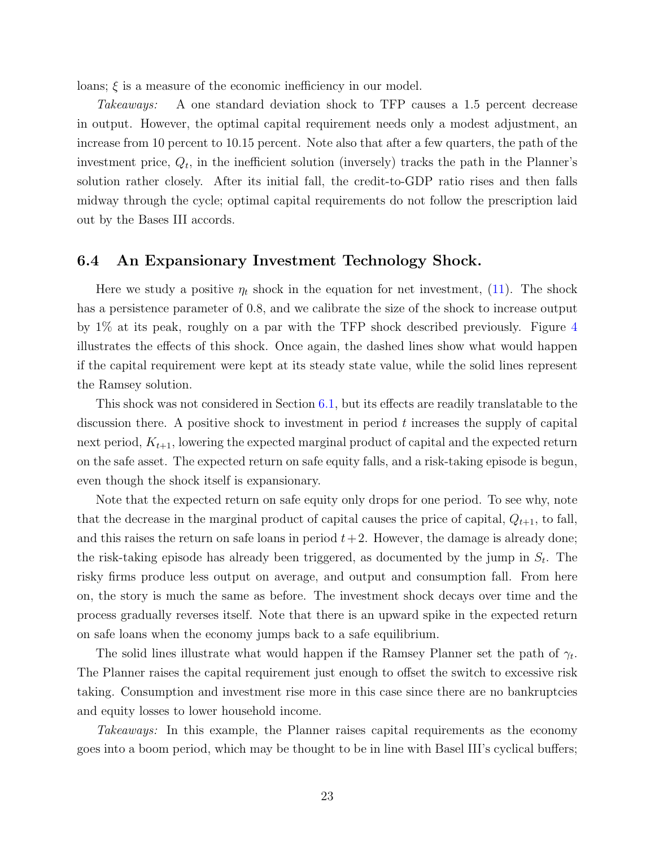loans;  $\xi$  is a measure of the economic inefficiency in our model.

Takeaways: A one standard deviation shock to TFP causes a 1.5 percent decrease in output. However, the optimal capital requirement needs only a modest adjustment, an increase from 10 percent to 10.15 percent. Note also that after a few quarters, the path of the investment price,  $Q_t$ , in the inefficient solution (inversely) tracks the path in the Planner's solution rather closely. After its initial fall, the credit-to-GDP ratio rises and then falls midway through the cycle; optimal capital requirements do not follow the prescription laid out by the Bases III accords.

### 6.4 An Expansionary Investment Technology Shock.

Here we study a positive  $\eta_t$  shock in the equation for net investment, [\(11\)](#page-8-2). The shock has a persistence parameter of 0.8, and we calibrate the size of the shock to increase output by 1% at its peak, roughly on a par with the TFP shock described previously. Figure [4](#page-40-0) illustrates the effects of this shock. Once again, the dashed lines show what would happen if the capital requirement were kept at its steady state value, while the solid lines represent the Ramsey solution.

This shock was not considered in Section [6.1,](#page-18-2) but its effects are readily translatable to the discussion there. A positive shock to investment in period  $t$  increases the supply of capital next period,  $K_{t+1}$ , lowering the expected marginal product of capital and the expected return on the safe asset. The expected return on safe equity falls, and a risk-taking episode is begun, even though the shock itself is expansionary.

Note that the expected return on safe equity only drops for one period. To see why, note that the decrease in the marginal product of capital causes the price of capital,  $Q_{t+1}$ , to fall, and this raises the return on safe loans in period  $t+2$ . However, the damage is already done; the risk-taking episode has already been triggered, as documented by the jump in  $S_t$ . The risky firms produce less output on average, and output and consumption fall. From here on, the story is much the same as before. The investment shock decays over time and the process gradually reverses itself. Note that there is an upward spike in the expected return on safe loans when the economy jumps back to a safe equilibrium.

The solid lines illustrate what would happen if the Ramsey Planner set the path of  $\gamma_t$ . The Planner raises the capital requirement just enough to offset the switch to excessive risk taking. Consumption and investment rise more in this case since there are no bankruptcies and equity losses to lower household income.

Takeaways: In this example, the Planner raises capital requirements as the economy goes into a boom period, which may be thought to be in line with Basel III's cyclical buffers;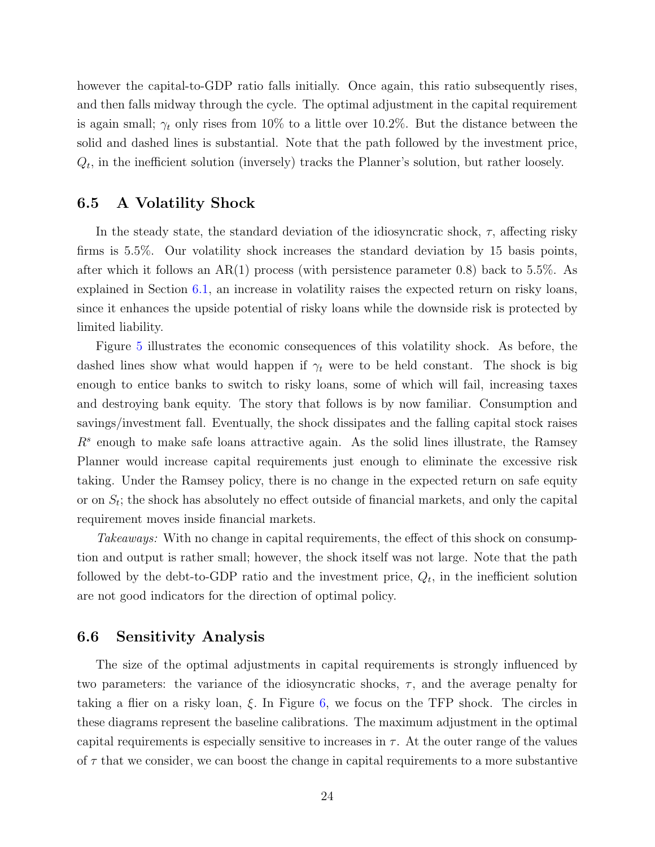however the capital-to-GDP ratio falls initially. Once again, this ratio subsequently rises, and then falls midway through the cycle. The optimal adjustment in the capital requirement is again small;  $\gamma_t$  only rises from 10% to a little over 10.2%. But the distance between the solid and dashed lines is substantial. Note that the path followed by the investment price,  $Q_t$ , in the inefficient solution (inversely) tracks the Planner's solution, but rather loosely.

### 6.5 A Volatility Shock

In the steady state, the standard deviation of the idiosyncratic shock,  $\tau$ , affecting risky firms is 5.5%. Our volatility shock increases the standard deviation by 15 basis points, after which it follows an AR(1) process (with persistence parameter 0.8) back to 5.5%. As explained in Section [6.1,](#page-18-2) an increase in volatility raises the expected return on risky loans, since it enhances the upside potential of risky loans while the downside risk is protected by limited liability.

Figure [5](#page-41-0) illustrates the economic consequences of this volatility shock. As before, the dashed lines show what would happen if  $\gamma_t$  were to be held constant. The shock is big enough to entice banks to switch to risky loans, some of which will fail, increasing taxes and destroying bank equity. The story that follows is by now familiar. Consumption and savings/investment fall. Eventually, the shock dissipates and the falling capital stock raises  $R<sup>s</sup>$  enough to make safe loans attractive again. As the solid lines illustrate, the Ramsey Planner would increase capital requirements just enough to eliminate the excessive risk taking. Under the Ramsey policy, there is no change in the expected return on safe equity or on  $S_t$ ; the shock has absolutely no effect outside of financial markets, and only the capital requirement moves inside financial markets.

Takeaways: With no change in capital requirements, the effect of this shock on consumption and output is rather small; however, the shock itself was not large. Note that the path followed by the debt-to-GDP ratio and the investment price,  $Q_t$ , in the inefficient solution are not good indicators for the direction of optimal policy.

#### 6.6 Sensitivity Analysis

The size of the optimal adjustments in capital requirements is strongly influenced by two parameters: the variance of the idiosyncratic shocks,  $\tau$ , and the average penalty for taking a flier on a risky loan,  $\xi$ . In Figure [6,](#page-42-0) we focus on the TFP shock. The circles in these diagrams represent the baseline calibrations. The maximum adjustment in the optimal capital requirements is especially sensitive to increases in  $\tau$ . At the outer range of the values of  $\tau$  that we consider, we can boost the change in capital requirements to a more substantive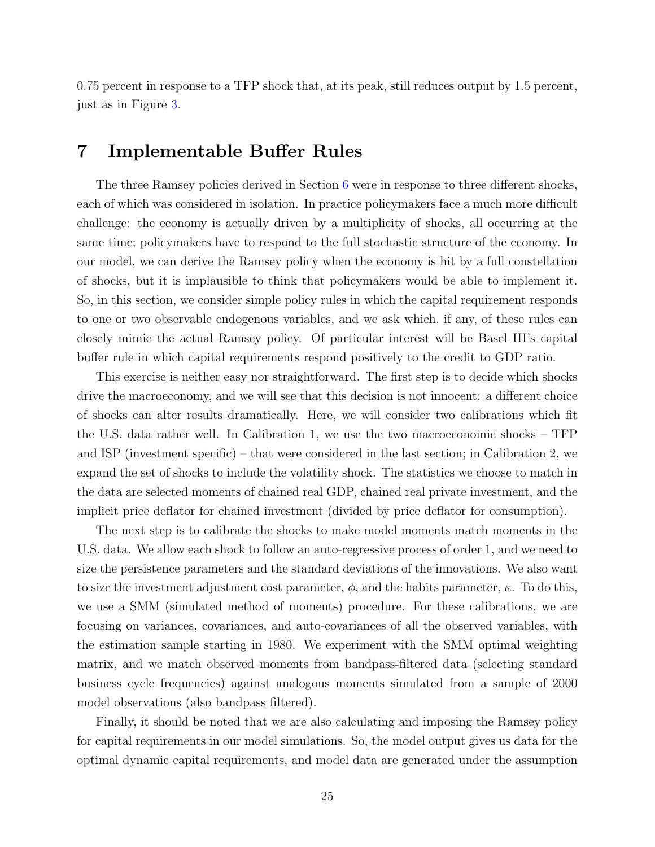0.75 percent in response to a TFP shock that, at its peak, still reduces output by 1.5 percent, just as in Figure [3.](#page-39-0)

# <span id="page-25-0"></span>7 Implementable Buffer Rules

The three Ramsey policies derived in Section [6](#page-17-0) were in response to three different shocks, each of which was considered in isolation. In practice policymakers face a much more difficult challenge: the economy is actually driven by a multiplicity of shocks, all occurring at the same time; policymakers have to respond to the full stochastic structure of the economy. In our model, we can derive the Ramsey policy when the economy is hit by a full constellation of shocks, but it is implausible to think that policymakers would be able to implement it. So, in this section, we consider simple policy rules in which the capital requirement responds to one or two observable endogenous variables, and we ask which, if any, of these rules can closely mimic the actual Ramsey policy. Of particular interest will be Basel III's capital buffer rule in which capital requirements respond positively to the credit to GDP ratio.

This exercise is neither easy nor straightforward. The first step is to decide which shocks drive the macroeconomy, and we will see that this decision is not innocent: a different choice of shocks can alter results dramatically. Here, we will consider two calibrations which fit the U.S. data rather well. In Calibration 1, we use the two macroeconomic shocks – TFP and ISP (investment specific) – that were considered in the last section; in Calibration 2, we expand the set of shocks to include the volatility shock. The statistics we choose to match in the data are selected moments of chained real GDP, chained real private investment, and the implicit price deflator for chained investment (divided by price deflator for consumption).

The next step is to calibrate the shocks to make model moments match moments in the U.S. data. We allow each shock to follow an auto-regressive process of order 1, and we need to size the persistence parameters and the standard deviations of the innovations. We also want to size the investment adjustment cost parameter,  $\phi$ , and the habits parameter,  $\kappa$ . To do this, we use a SMM (simulated method of moments) procedure. For these calibrations, we are focusing on variances, covariances, and auto-covariances of all the observed variables, with the estimation sample starting in 1980. We experiment with the SMM optimal weighting matrix, and we match observed moments from bandpass-filtered data (selecting standard business cycle frequencies) against analogous moments simulated from a sample of 2000 model observations (also bandpass filtered).

Finally, it should be noted that we are also calculating and imposing the Ramsey policy for capital requirements in our model simulations. So, the model output gives us data for the optimal dynamic capital requirements, and model data are generated under the assumption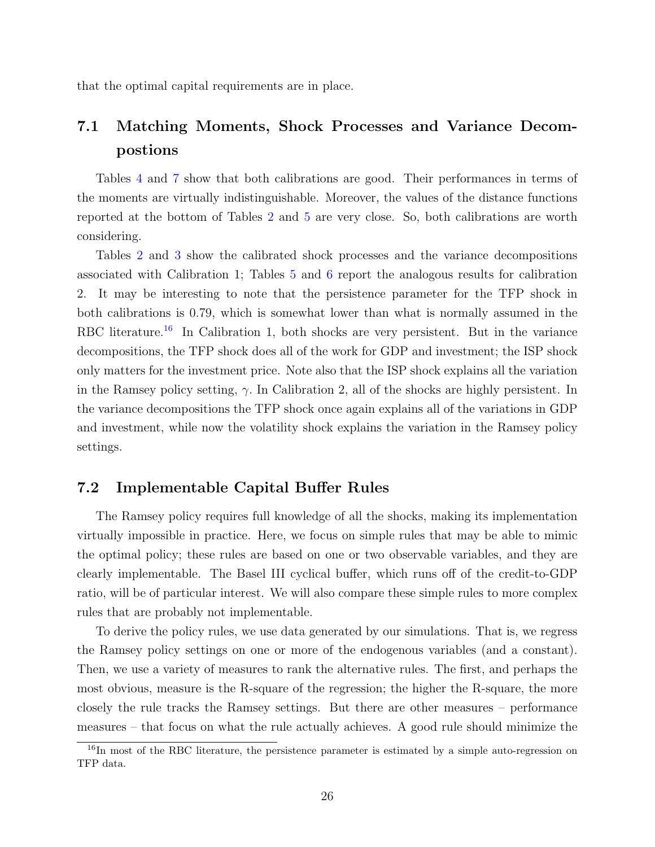that the optimal capital requirements are in place.

# 7.1 Matching Moments, Shock Processes and Variance Decompostions

Tables [4](#page-32-0) and [7](#page-33-0) show that both calibrations are good. Their performances in terms of the moments are virtually indistinguishable. Moreover, the values of the distance functions reported at the bottom of Tables [2](#page-32-1) and [5](#page-33-1) are very close. So, both calibrations are worth considering.

Tables [2](#page-32-1) and [3](#page-32-2) show the calibrated shock processes and the variance decompositions associated with Calibration 1; Tables [5](#page-33-1) and [6](#page-33-2) report the analogous results for calibration 2. It may be interesting to note that the persistence parameter for the TFP shock in both calibrations is 0.79, which is somewhat lower than what is normally assumed in the RBC literature.<sup>[16](#page-26-0)</sup> In Calibration 1, both shocks are very persistent. But in the variance decompositions, the TFP shock does all of the work for GDP and investment; the ISP shock only matters for the investment price. Note also that the ISP shock explains all the variation in the Ramsey policy setting,  $\gamma$ . In Calibration 2, all of the shocks are highly persistent. In the variance decompositions the TFP shock once again explains all of the variations in GDP and investment, while now the volatility shock explains the variation in the Ramsey policy settings.

### 7.2 Implementable Capital Buffer Rules

The Ramsey policy requires full knowledge of all the shocks, making its implementation virtually impossible in practice. Here, we focus on simple rules that may be able to mimic the optimal policy; these rules are based on one or two observable variables, and they are clearly implementable. The Basel III cyclical buffer, which runs off of the credit-to-GDP ratio, will be of particular interest. We will also compare these simple rules to more complex rules that are probably not implementable.

To derive the policy rules, we use data generated by our simulations. That is, we regress the Ramsey policy settings on one or more of the endogenous variables (and a constant). Then, we use a variety of measures to rank the alternative rules. The first, and perhaps the most obvious, measure is the R-square of the regression; the higher the R-square, the more closely the rule tracks the Ramsey settings. But there are other measures – performance measures – that focus on what the rule actually achieves. A good rule should minimize the

<span id="page-26-0"></span><sup>&</sup>lt;sup>16</sup>In most of the RBC literature, the persistence parameter is estimated by a simple auto-regression on TFP data.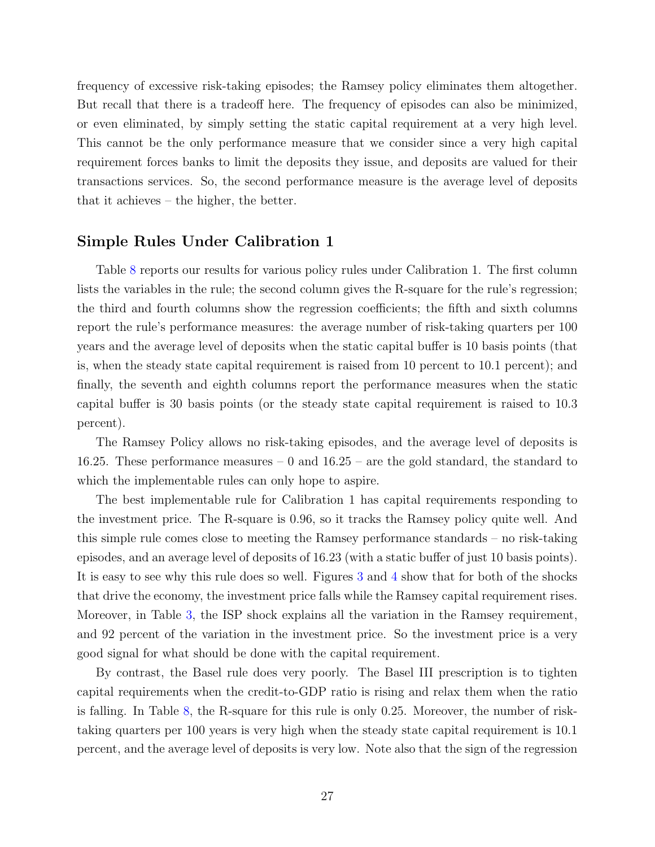frequency of excessive risk-taking episodes; the Ramsey policy eliminates them altogether. But recall that there is a tradeoff here. The frequency of episodes can also be minimized, or even eliminated, by simply setting the static capital requirement at a very high level. This cannot be the only performance measure that we consider since a very high capital requirement forces banks to limit the deposits they issue, and deposits are valued for their transactions services. So, the second performance measure is the average level of deposits that it achieves – the higher, the better.

### Simple Rules Under Calibration 1

Table [8](#page-34-0) reports our results for various policy rules under Calibration 1. The first column lists the variables in the rule; the second column gives the R-square for the rule's regression; the third and fourth columns show the regression coefficients; the fifth and sixth columns report the rule's performance measures: the average number of risk-taking quarters per 100 years and the average level of deposits when the static capital buffer is 10 basis points (that is, when the steady state capital requirement is raised from 10 percent to 10.1 percent); and finally, the seventh and eighth columns report the performance measures when the static capital buffer is 30 basis points (or the steady state capital requirement is raised to 10.3 percent).

The Ramsey Policy allows no risk-taking episodes, and the average level of deposits is 16.25. These performance measures  $-0$  and  $16.25$  – are the gold standard, the standard to which the implementable rules can only hope to aspire.

The best implementable rule for Calibration 1 has capital requirements responding to the investment price. The R-square is 0.96, so it tracks the Ramsey policy quite well. And this simple rule comes close to meeting the Ramsey performance standards – no risk-taking episodes, and an average level of deposits of 16.23 (with a static buffer of just 10 basis points). It is easy to see why this rule does so well. Figures [3](#page-39-0) and [4](#page-40-0) show that for both of the shocks that drive the economy, the investment price falls while the Ramsey capital requirement rises. Moreover, in Table [3,](#page-32-2) the ISP shock explains all the variation in the Ramsey requirement, and 92 percent of the variation in the investment price. So the investment price is a very good signal for what should be done with the capital requirement.

By contrast, the Basel rule does very poorly. The Basel III prescription is to tighten capital requirements when the credit-to-GDP ratio is rising and relax them when the ratio is falling. In Table [8,](#page-34-0) the R-square for this rule is only 0.25. Moreover, the number of risktaking quarters per 100 years is very high when the steady state capital requirement is 10.1 percent, and the average level of deposits is very low. Note also that the sign of the regression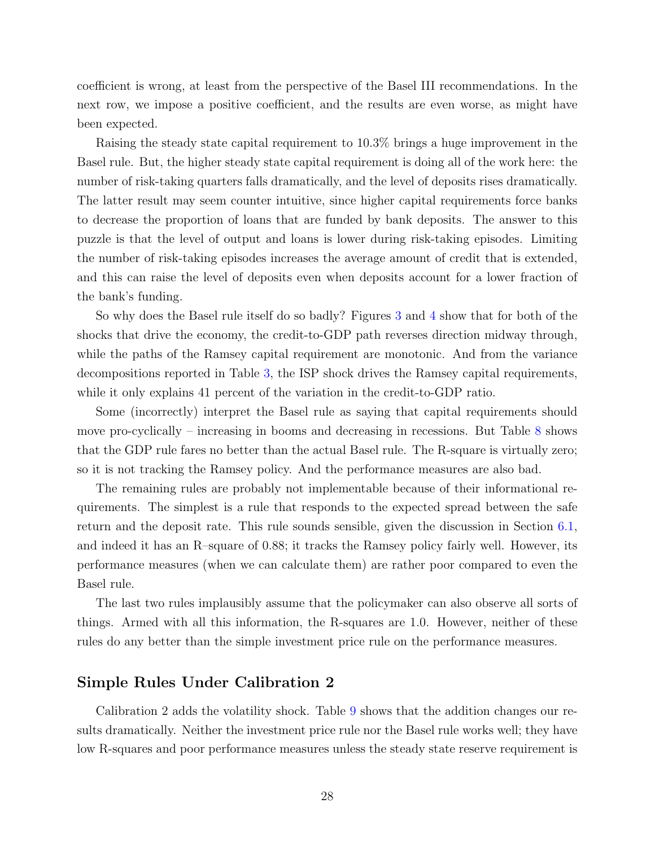coefficient is wrong, at least from the perspective of the Basel III recommendations. In the next row, we impose a positive coefficient, and the results are even worse, as might have been expected.

Raising the steady state capital requirement to 10.3% brings a huge improvement in the Basel rule. But, the higher steady state capital requirement is doing all of the work here: the number of risk-taking quarters falls dramatically, and the level of deposits rises dramatically. The latter result may seem counter intuitive, since higher capital requirements force banks to decrease the proportion of loans that are funded by bank deposits. The answer to this puzzle is that the level of output and loans is lower during risk-taking episodes. Limiting the number of risk-taking episodes increases the average amount of credit that is extended, and this can raise the level of deposits even when deposits account for a lower fraction of the bank's funding.

So why does the Basel rule itself do so badly? Figures [3](#page-39-0) and [4](#page-40-0) show that for both of the shocks that drive the economy, the credit-to-GDP path reverses direction midway through, while the paths of the Ramsey capital requirement are monotonic. And from the variance decompositions reported in Table [3,](#page-32-2) the ISP shock drives the Ramsey capital requirements, while it only explains 41 percent of the variation in the credit-to-GDP ratio.

Some (incorrectly) interpret the Basel rule as saying that capital requirements should move pro-cyclically – increasing in booms and decreasing in recessions. But Table [8](#page-34-0) shows that the GDP rule fares no better than the actual Basel rule. The R-square is virtually zero; so it is not tracking the Ramsey policy. And the performance measures are also bad.

The remaining rules are probably not implementable because of their informational requirements. The simplest is a rule that responds to the expected spread between the safe return and the deposit rate. This rule sounds sensible, given the discussion in Section [6.1,](#page-18-2) and indeed it has an R–square of 0.88; it tracks the Ramsey policy fairly well. However, its performance measures (when we can calculate them) are rather poor compared to even the Basel rule.

The last two rules implausibly assume that the policymaker can also observe all sorts of things. Armed with all this information, the R-squares are 1.0. However, neither of these rules do any better than the simple investment price rule on the performance measures.

#### Simple Rules Under Calibration 2

Calibration 2 adds the volatility shock. Table [9](#page-35-0) shows that the addition changes our results dramatically. Neither the investment price rule nor the Basel rule works well; they have low R-squares and poor performance measures unless the steady state reserve requirement is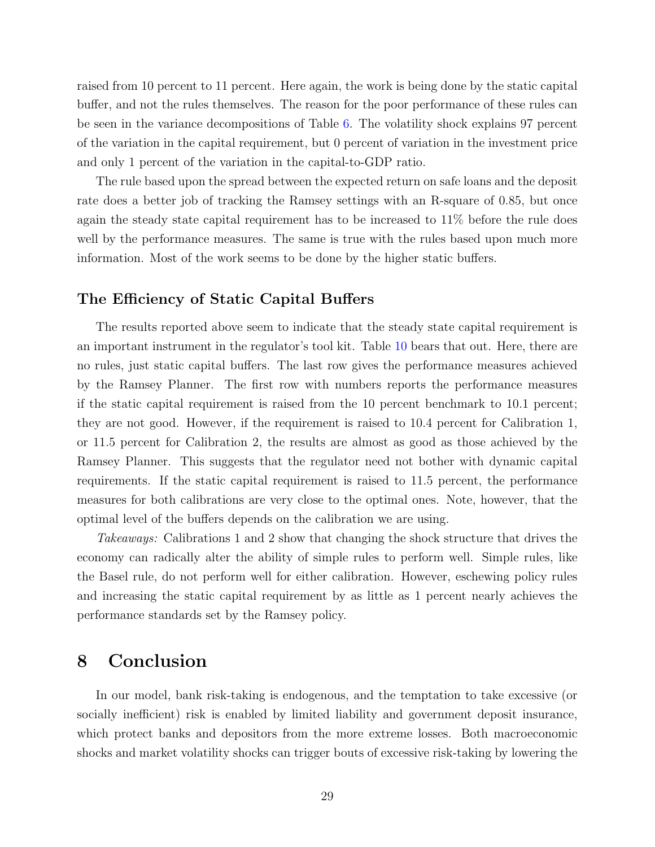raised from 10 percent to 11 percent. Here again, the work is being done by the static capital buffer, and not the rules themselves. The reason for the poor performance of these rules can be seen in the variance decompositions of Table [6.](#page-33-2) The volatility shock explains 97 percent of the variation in the capital requirement, but 0 percent of variation in the investment price and only 1 percent of the variation in the capital-to-GDP ratio.

The rule based upon the spread between the expected return on safe loans and the deposit rate does a better job of tracking the Ramsey settings with an R-square of 0.85, but once again the steady state capital requirement has to be increased to 11% before the rule does well by the performance measures. The same is true with the rules based upon much more information. Most of the work seems to be done by the higher static buffers.

### The Efficiency of Static Capital Buffers

The results reported above seem to indicate that the steady state capital requirement is an important instrument in the regulator's tool kit. Table [10](#page-36-0) bears that out. Here, there are no rules, just static capital buffers. The last row gives the performance measures achieved by the Ramsey Planner. The first row with numbers reports the performance measures if the static capital requirement is raised from the 10 percent benchmark to 10.1 percent; they are not good. However, if the requirement is raised to 10.4 percent for Calibration 1, or 11.5 percent for Calibration 2, the results are almost as good as those achieved by the Ramsey Planner. This suggests that the regulator need not bother with dynamic capital requirements. If the static capital requirement is raised to 11.5 percent, the performance measures for both calibrations are very close to the optimal ones. Note, however, that the optimal level of the buffers depends on the calibration we are using.

Takeaways: Calibrations 1 and 2 show that changing the shock structure that drives the economy can radically alter the ability of simple rules to perform well. Simple rules, like the Basel rule, do not perform well for either calibration. However, eschewing policy rules and increasing the static capital requirement by as little as 1 percent nearly achieves the performance standards set by the Ramsey policy.

# <span id="page-29-0"></span>8 Conclusion

In our model, bank risk-taking is endogenous, and the temptation to take excessive (or socially inefficient) risk is enabled by limited liability and government deposit insurance, which protect banks and depositors from the more extreme losses. Both macroeconomic shocks and market volatility shocks can trigger bouts of excessive risk-taking by lowering the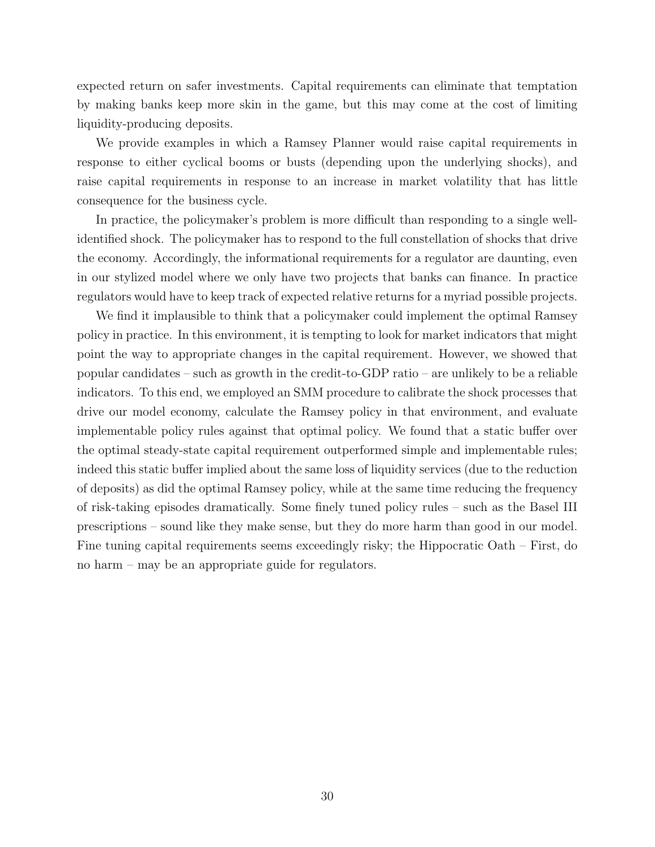expected return on safer investments. Capital requirements can eliminate that temptation by making banks keep more skin in the game, but this may come at the cost of limiting liquidity-producing deposits.

We provide examples in which a Ramsey Planner would raise capital requirements in response to either cyclical booms or busts (depending upon the underlying shocks), and raise capital requirements in response to an increase in market volatility that has little consequence for the business cycle.

In practice, the policymaker's problem is more difficult than responding to a single wellidentified shock. The policymaker has to respond to the full constellation of shocks that drive the economy. Accordingly, the informational requirements for a regulator are daunting, even in our stylized model where we only have two projects that banks can finance. In practice regulators would have to keep track of expected relative returns for a myriad possible projects.

We find it implausible to think that a policymaker could implement the optimal Ramsey policy in practice. In this environment, it is tempting to look for market indicators that might point the way to appropriate changes in the capital requirement. However, we showed that popular candidates – such as growth in the credit-to-GDP ratio – are unlikely to be a reliable indicators. To this end, we employed an SMM procedure to calibrate the shock processes that drive our model economy, calculate the Ramsey policy in that environment, and evaluate implementable policy rules against that optimal policy. We found that a static buffer over the optimal steady-state capital requirement outperformed simple and implementable rules; indeed this static buffer implied about the same loss of liquidity services (due to the reduction of deposits) as did the optimal Ramsey policy, while at the same time reducing the frequency of risk-taking episodes dramatically. Some finely tuned policy rules – such as the Basel III prescriptions – sound like they make sense, but they do more harm than good in our model. Fine tuning capital requirements seems exceedingly risky; the Hippocratic Oath – First, do no harm – may be an appropriate guide for regulators.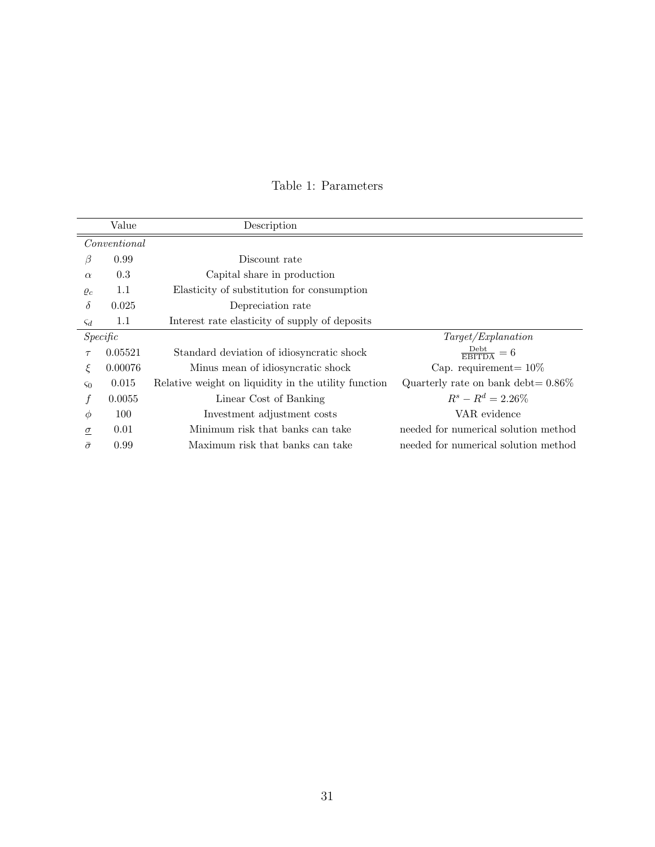<span id="page-31-0"></span>

|                | Value        | Description                                          |                                       |
|----------------|--------------|------------------------------------------------------|---------------------------------------|
|                | Conventional |                                                      |                                       |
| β              | 0.99         | Discount rate                                        |                                       |
| $\alpha$       | 0.3          | Capital share in production                          |                                       |
| $\varrho_c$    | 1.1          | Elasticity of substitution for consumption           |                                       |
| $\delta$       | 0.025        | Depreciation rate                                    |                                       |
| $\varsigma_d$  | 1.1          | Interest rate elasticity of supply of deposits       |                                       |
|                | Specific     |                                                      | Target/Explanation                    |
| $\tau$         | 0.05521      | Standard deviation of idiosyncratic shock            | $\frac{\text{Debt}}{\text{EBITDA}}=6$ |
| ξ              | 0.00076      | Minus mean of idiosyncratic shock                    | Cap. requirement = $10\%$             |
| $\varsigma_0$  | 0.015        | Relative weight on liquidity in the utility function | Quarterly rate on bank debt= $0.86\%$ |
|                | 0.0055       | Linear Cost of Banking                               | $R^s - R^d = 2.26\%$                  |
| $\phi$         | 100          | Investment adjustment costs                          | VAR evidence                          |
| $\sigma$       | 0.01         | Minimum risk that banks can take                     | needed for numerical solution method  |
| $\bar{\sigma}$ | 0.99         | Maximum risk that banks can take                     | needed for numerical solution method  |

### Table 1: Parameters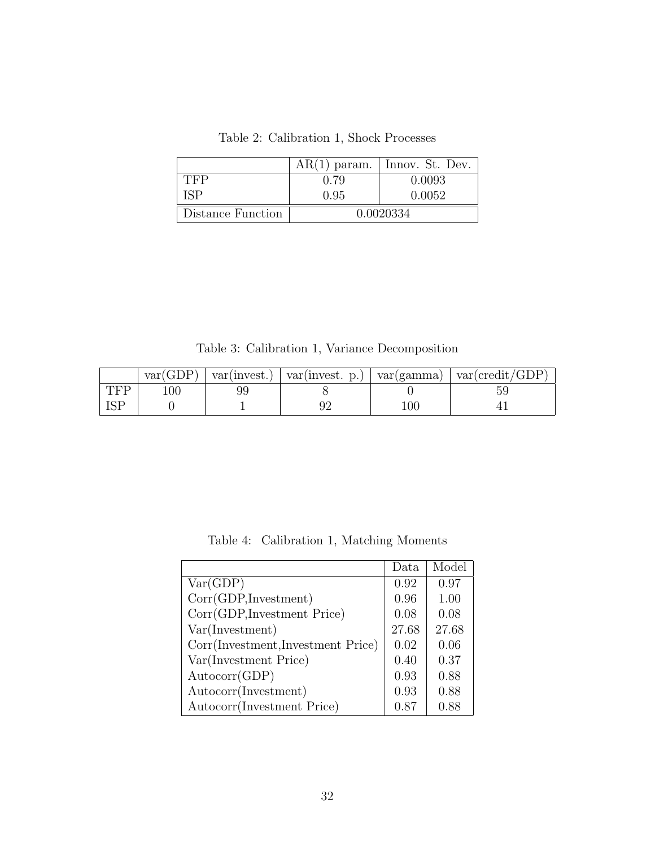Table 2: Calibration 1, Shock Processes

<span id="page-32-1"></span>

|                   | $AR(1)$ param. | Innov. St. Dev. |
|-------------------|----------------|-----------------|
| TFP               | 0.79           | 0.0093          |
| ISP               | 0.95           | 0.0052          |
| Distance Function |                | 0.0020334       |

Table 3: Calibration 1, Variance Decomposition

<span id="page-32-2"></span>

|     | var(GDP) | var(invest.) | var(invest. p.) | var(gamma) | var(credit/GDP) |
|-----|----------|--------------|-----------------|------------|-----------------|
| TFP | 100      |              |                 |            |                 |
|     |          |              |                 | $100\,$    |                 |

Table 4: Calibration 1, Matching Moments

<span id="page-32-0"></span>

|                                   | Data  | Model |
|-----------------------------------|-------|-------|
| Var(GDP)                          | 0.92  | 0.97  |
| Corr(GDP, Investment)             | 0.96  | 1.00  |
| Corr(GDP, Investment Price)       | 0.08  | 0.08  |
| Var(Investment)                   | 27.68 | 27.68 |
| Corr(Investment,Investment Price) | 0.02  | 0.06  |
| Var(Investment Price)             | 0.40  | 0.37  |
| Autocorr(GDP)                     | 0.93  | 0.88  |
| Autocorr(Investment)              | 0.93  | 0.88  |
| Autocorr(Investment Price)        | 0.87  | 0.88  |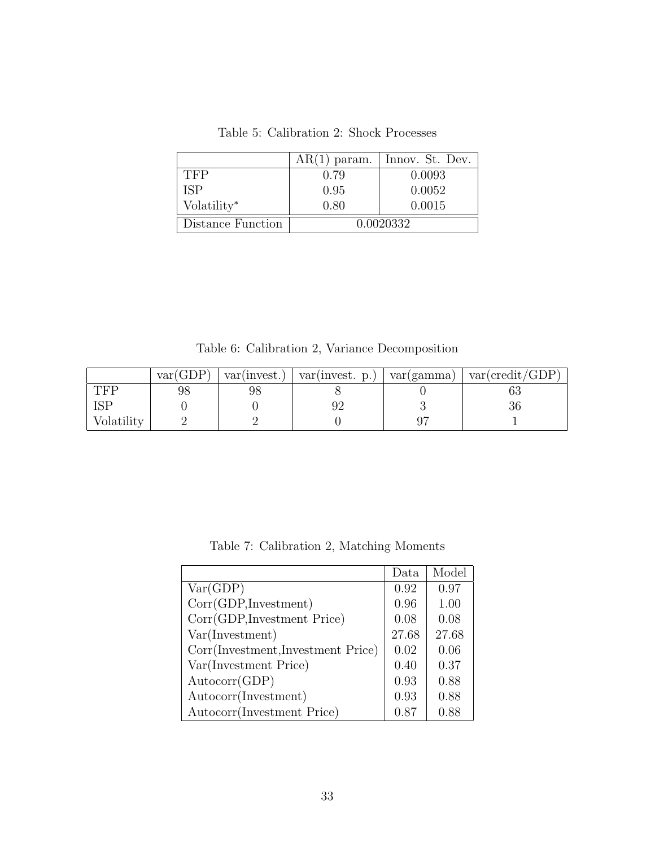<span id="page-33-1"></span>

|                         | $AR(1)$ param. | Innov. St. Dev. |
|-------------------------|----------------|-----------------|
| TFP                     | 0.79           | 0.0093          |
| ISP                     | 0.95           | 0.0052          |
| Volatility <sup>*</sup> | 0.80           | 0.0015          |
| Distance Function       |                | 0.0020332       |

Table 5: Calibration 2: Shock Processes

Table 6: Calibration 2, Variance Decomposition

<span id="page-33-2"></span>

|            | var(GDP) | var(invest.) | var(invest. p.) | var(gamma) | var(credit/GDP) |
|------------|----------|--------------|-----------------|------------|-----------------|
| TFP        | 98       | 98           |                 |            |                 |
|            |          |              |                 |            | υu              |
| Volatility |          |              |                 |            |                 |

Table 7: Calibration 2, Matching Moments

<span id="page-33-0"></span>

|                                    | Data  | Model |
|------------------------------------|-------|-------|
| Var(GDP)                           | 0.92  | 0.97  |
| Corr(GDP,Investment)               | 0.96  | 1.00  |
| Corr(GDP, Investment Price)        | 0.08  | 0.08  |
| Var(Investment)                    | 27.68 | 27.68 |
| Corr(Investment, Investment Price) | 0.02  | 0.06  |
| Var(Investment Price)              | 0.40  | 0.37  |
| Autocorr(GDP)                      | 0.93  | 0.88  |
| Autocorr(Investment)               | 0.93  | 0.88  |
| Autocorr(Investment Price)         | 0.87  | 0.88  |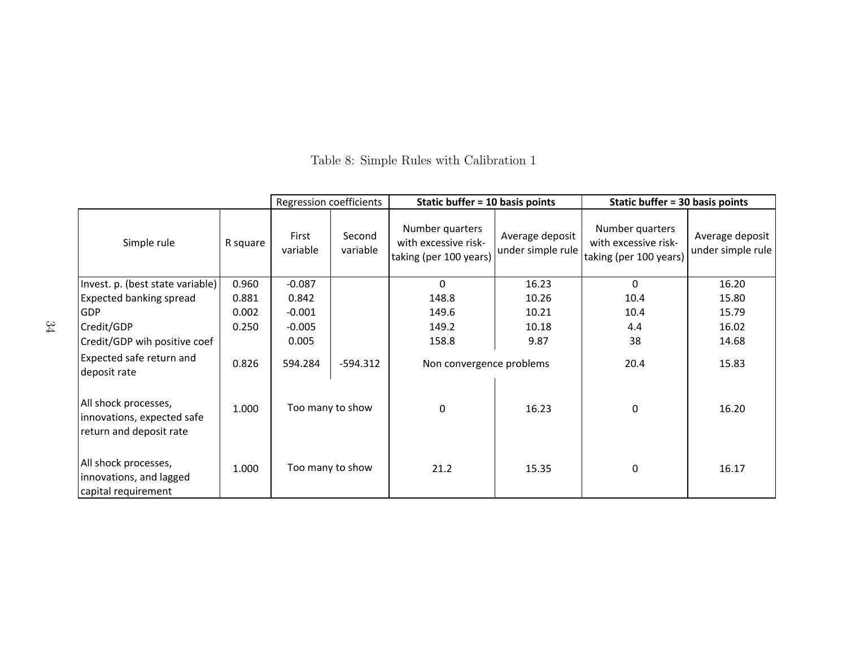|                                                                               |          | Regression coefficients |                    | Static buffer = 10 basis points                                   |                                      | Static buffer = 30 basis points                                   |                                      |
|-------------------------------------------------------------------------------|----------|-------------------------|--------------------|-------------------------------------------------------------------|--------------------------------------|-------------------------------------------------------------------|--------------------------------------|
| Simple rule                                                                   | R square | First<br>variable       | Second<br>variable | Number quarters<br>with excessive risk-<br>taking (per 100 years) | Average deposit<br>under simple rule | Number quarters<br>with excessive risk-<br>taking (per 100 years) | Average deposit<br>under simple rule |
| Invest. p. (best state variable)                                              | 0.960    | $-0.087$                |                    | $\mathbf{0}$                                                      | 16.23                                | $\Omega$                                                          | 16.20                                |
| <b>Expected banking spread</b>                                                | 0.881    | 0.842                   |                    | 148.8                                                             | 10.26                                | 10.4                                                              | 15.80                                |
| <b>GDP</b>                                                                    | 0.002    | $-0.001$                |                    | 149.6                                                             | 10.21                                | 10.4                                                              | 15.79                                |
| Credit/GDP                                                                    | 0.250    | $-0.005$                |                    | 149.2                                                             | 10.18                                | 4.4                                                               | 16.02                                |
| Credit/GDP wih positive coef                                                  |          | 0.005                   |                    | 158.8                                                             | 9.87                                 | 38                                                                | 14.68                                |
| Expected safe return and<br>deposit rate                                      | 0.826    | 594.284                 | $-594.312$         | Non convergence problems                                          |                                      | 20.4                                                              | 15.83                                |
| All shock processes,<br>innovations, expected safe<br>return and deposit rate | 1.000    |                         | Too many to show   | $\mathbf{0}$                                                      | 16.23                                | 0                                                                 | 16.20                                |
| All shock processes,<br>innovations, and lagged<br>capital requirement        | 1.000    |                         | Too many to show   | 21.2                                                              | 15.35                                | 0                                                                 | 16.17                                |

<span id="page-34-0"></span>Table 8: Simple Rules with Calibration 1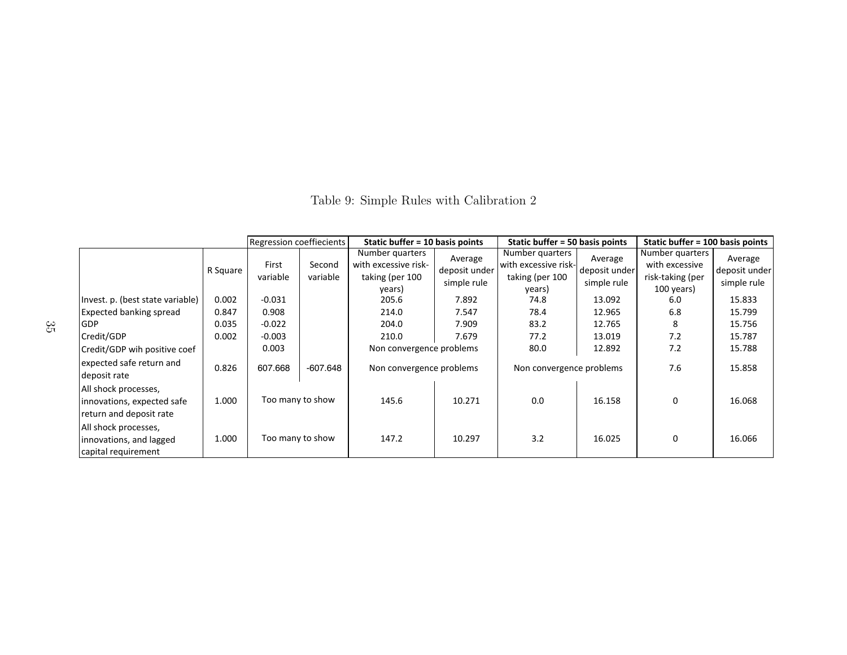<span id="page-35-0"></span>

|                                                                               |          | Regression coeffiecients |                    | Static buffer $= 10$ basis points                                    |                                         | Static buffer = 50 basis points                                      |                                         | Static buffer = 100 basis points                                    |                                         |
|-------------------------------------------------------------------------------|----------|--------------------------|--------------------|----------------------------------------------------------------------|-----------------------------------------|----------------------------------------------------------------------|-----------------------------------------|---------------------------------------------------------------------|-----------------------------------------|
|                                                                               | R Square | First<br>variable        | Second<br>variable | Number quarters<br>with excessive risk-<br>taking (per 100<br>years) | Average<br>deposit under<br>simple rule | Number quarters<br>with excessive risk-<br>taking (per 100<br>years) | Average<br>deposit under<br>simple rule | Number quarters<br>with excessive<br>risk-taking (per<br>100 years) | Average<br>deposit under<br>simple rule |
| Invest. p. (best state variable)                                              | 0.002    | $-0.031$                 |                    | 205.6                                                                | 7.892                                   | 74.8                                                                 | 13.092                                  | 6.0                                                                 | 15.833                                  |
| <b>Expected banking spread</b>                                                | 0.847    | 0.908                    |                    | 214.0                                                                | 7.547                                   | 78.4                                                                 | 12.965                                  | 6.8                                                                 | 15.799                                  |
| <b>GDP</b>                                                                    | 0.035    | $-0.022$                 |                    | 204.0                                                                | 7.909                                   | 83.2                                                                 | 12.765                                  | 8                                                                   | 15.756                                  |
| Credit/GDP                                                                    | 0.002    | $-0.003$                 |                    | 210.0                                                                | 7.679                                   | 77.2                                                                 | 13.019                                  | 7.2                                                                 | 15.787                                  |
| Credit/GDP wih positive coef                                                  |          | 0.003                    |                    | Non convergence problems                                             |                                         | 80.0                                                                 | 12.892                                  | 7.2                                                                 | 15.788                                  |
| expected safe return and<br>deposit rate                                      | 0.826    | 607.668                  | -607.648           | Non convergence problems                                             |                                         | Non convergence problems                                             |                                         | 7.6                                                                 | 15.858                                  |
| All shock processes,<br>innovations, expected safe<br>return and deposit rate | 1.000    | Too many to show         |                    | 145.6                                                                | 10.271                                  | 0.0                                                                  | 16.158                                  | 0                                                                   | 16.068                                  |
| All shock processes,<br>innovations, and lagged<br>capital requirement        | 1.000    | Too many to show         |                    | 147.2<br>10.297                                                      |                                         | 3.2                                                                  | 16.025                                  | $\Omega$                                                            | 16.066                                  |

Table 9: Simple Rules with Calibration 2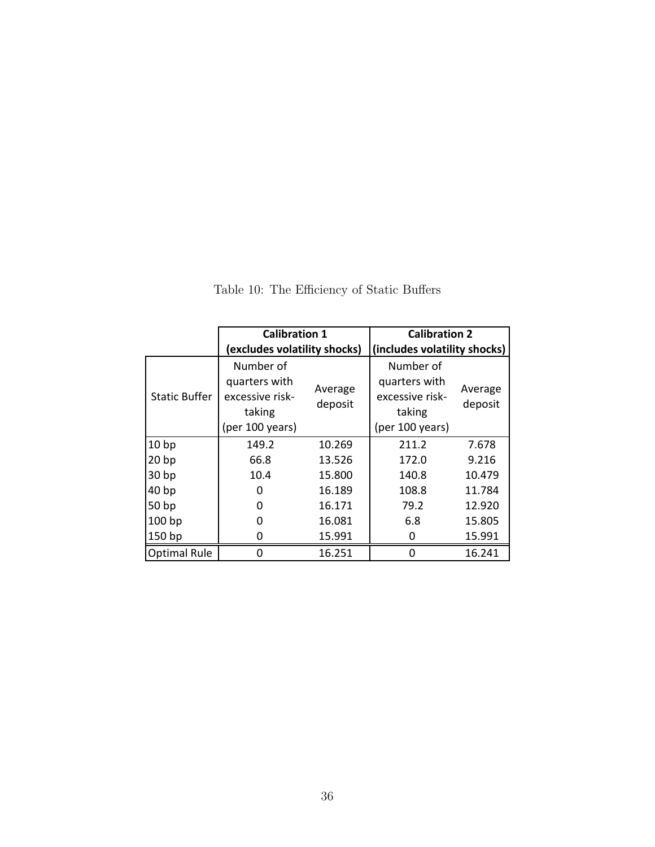<span id="page-36-0"></span>

|                      | <b>Calibration 1</b>                                                       |                              | <b>Calibration 2</b>                                                       |                    |  |
|----------------------|----------------------------------------------------------------------------|------------------------------|----------------------------------------------------------------------------|--------------------|--|
|                      | (excludes volatility shocks)                                               | (includes volatility shocks) |                                                                            |                    |  |
| <b>Static Buffer</b> | Number of<br>quarters with<br>excessive risk-<br>taking<br>(per 100 years) | Average<br>deposit           | Number of<br>quarters with<br>excessive risk-<br>taking<br>(per 100 years) | Average<br>deposit |  |
| 10 <sub>bp</sub>     | 149.2                                                                      | 10.269                       | 211.2                                                                      | 7.678              |  |
| 20 <sub>bp</sub>     | 66.8                                                                       | 13.526                       | 172.0                                                                      | 9.216              |  |
| 30 <sub>bp</sub>     | 10.4                                                                       | 15.800                       | 140.8                                                                      | 10.479             |  |
| 40 <sub>bp</sub>     | O                                                                          | 16.189                       | 108.8                                                                      | 11.784             |  |
| 50 bp                | $\mathbf{I}$                                                               | 16.171                       | 79.2                                                                       | 12.920             |  |
| 100 <sub>bp</sub>    | O                                                                          | 16.081                       | 6.8                                                                        | 15.805             |  |
| 150 bp               | 0                                                                          | 15.991                       |                                                                            | 15.991             |  |
| <b>Optimal Rule</b>  | O                                                                          | 16.251                       | O                                                                          | 16.241             |  |

Table 10: The Efficiency of Static Buffers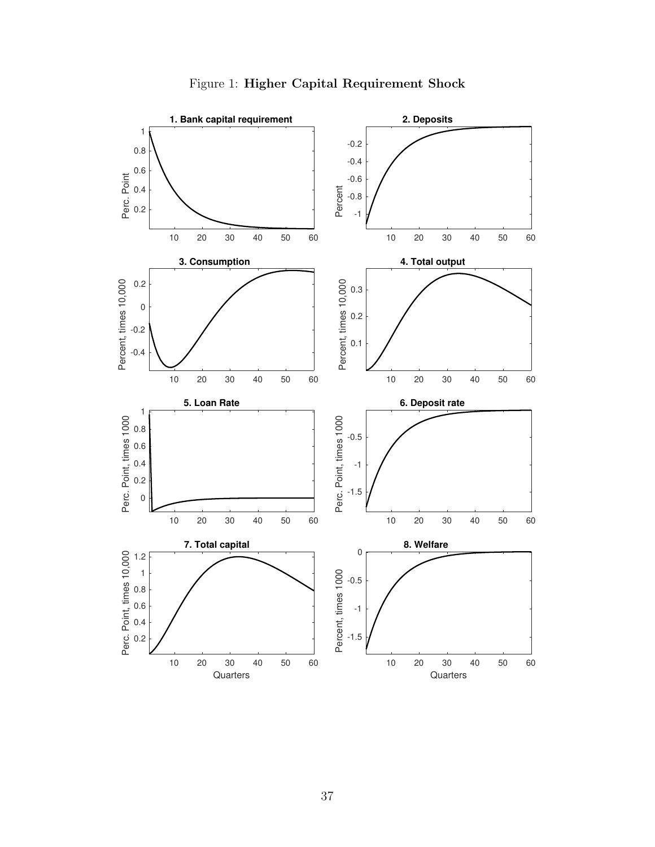<span id="page-37-0"></span>

Figure 1: Higher Capital Requirement Shock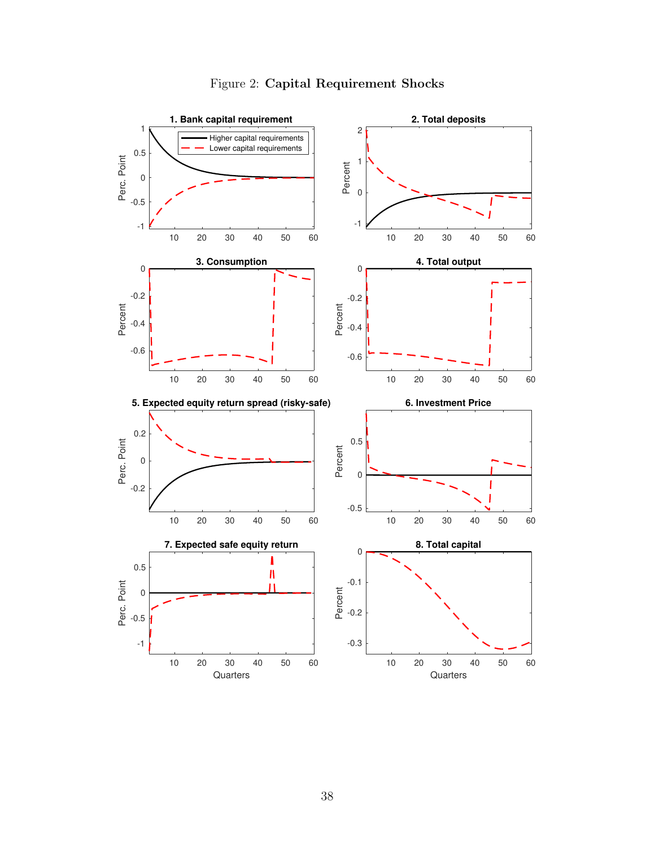<span id="page-38-0"></span>

### Figure 2: Capital Requirement Shocks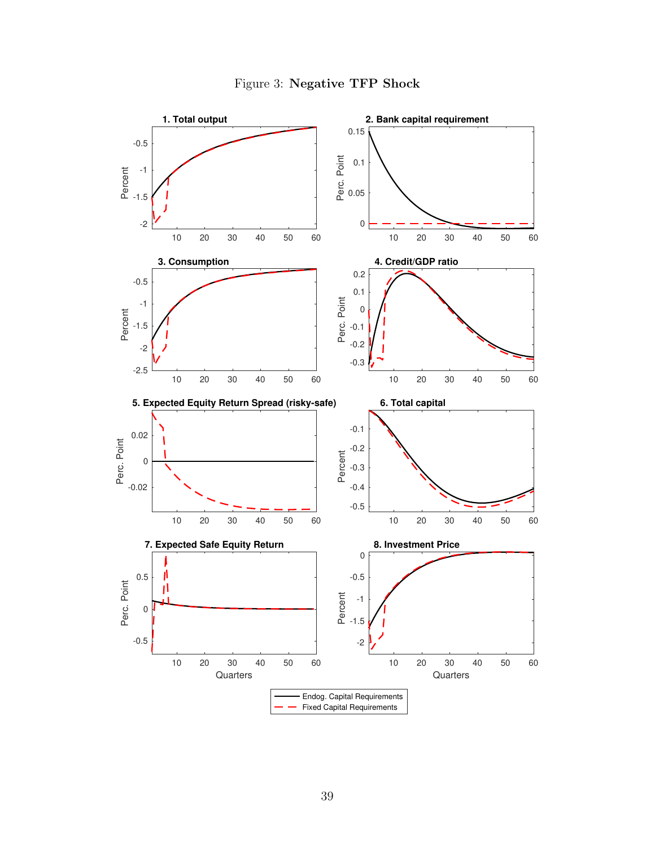

<span id="page-39-0"></span>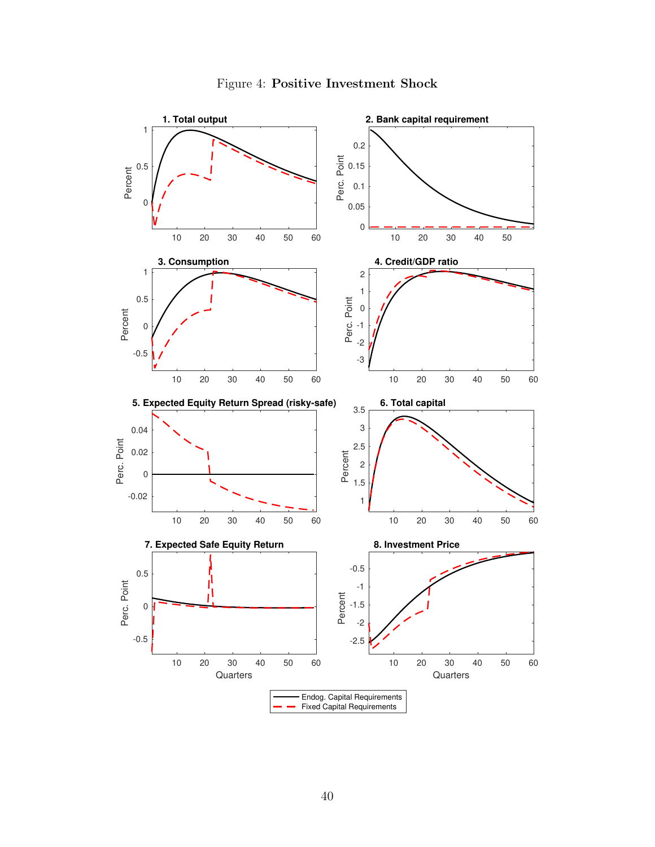<span id="page-40-0"></span>

### Figure 4: Positive Investment Shock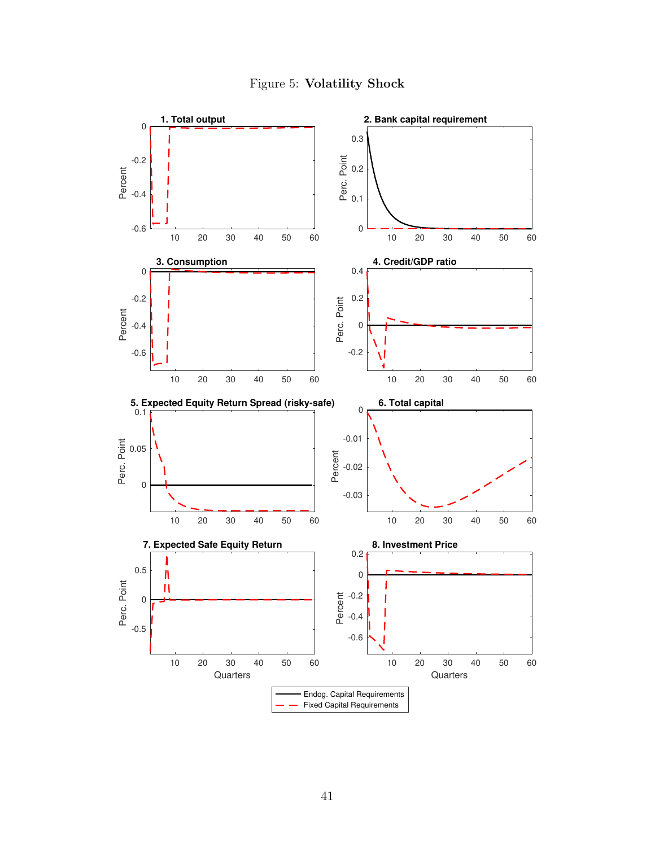

<span id="page-41-0"></span>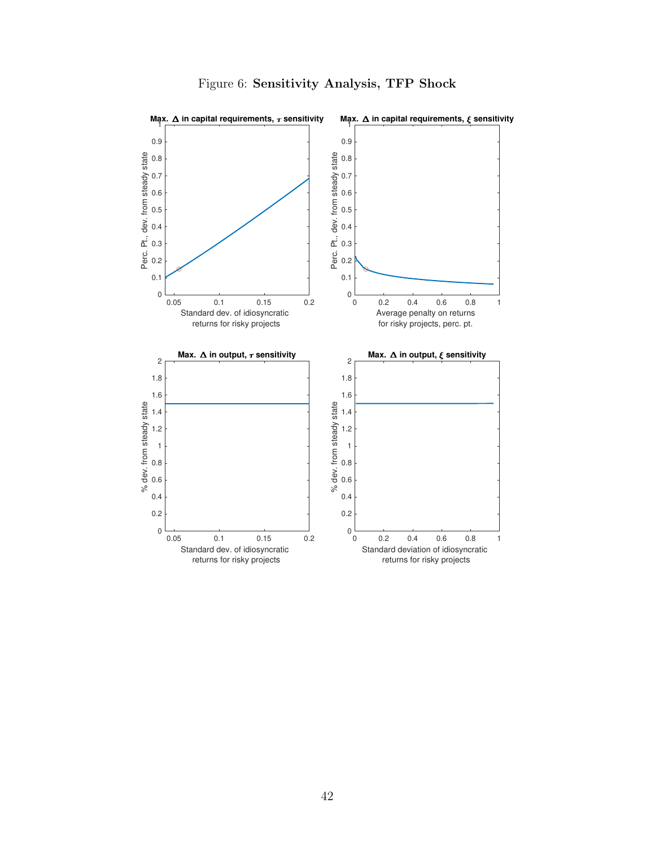<span id="page-42-0"></span>